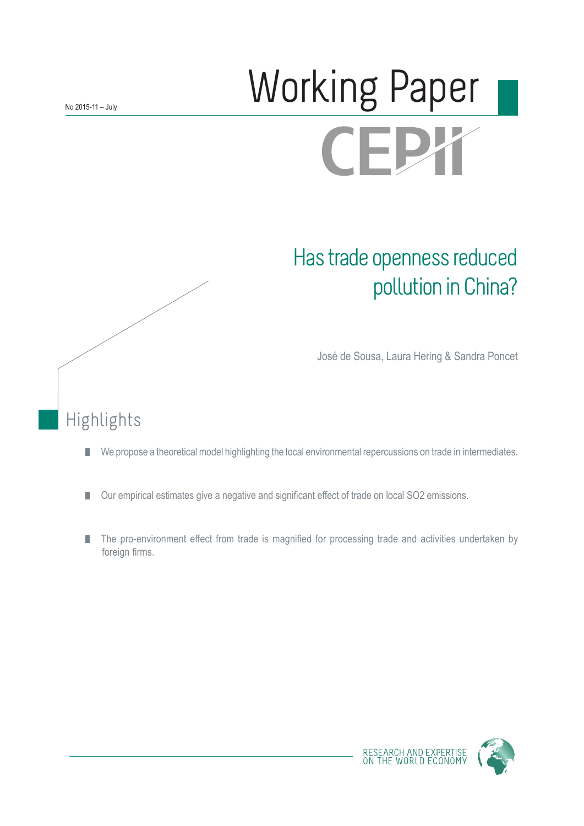# Working Paper **CEPY**

## Has trade openness reduced pollution in China?

José de Sousa, Laura Hering & Sandra Poncet

## Highlights

- We propose a theoretical model highlighting the local environmental repercussions on trade in intermediates.  $\overline{\phantom{a}}$
- Our empirical estimates give a negative and significant effect of trade on local SO2 emissions. F.
- F. The pro-environment effect from trade is magnified for processing trade and activities undertaken by foreign firms.

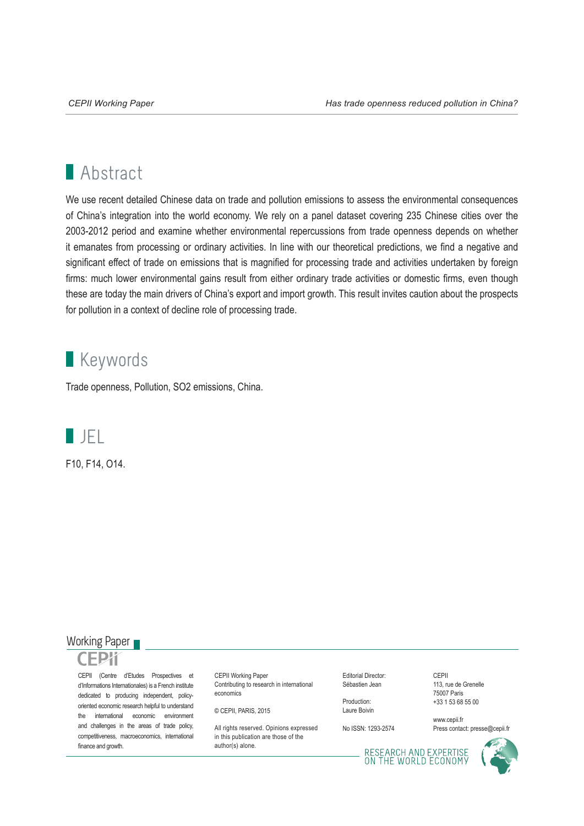## **Abstract**

We use recent detailed Chinese data on trade and pollution emissions to assess the environmental consequences of China's integration into the world economy. We rely on a panel dataset covering 235 Chinese cities over the 2003-2012 period and examine whether environmental repercussions from trade openness depends on whether it emanates from processing or ordinary activities. In line with our theoretical predictions, we find a negative and significant effect of trade on emissions that is magnified for processing trade and activities undertaken by foreign firms: much lower environmental gains result from either ordinary trade activities or domestic firms, even though these are today the main drivers of China's export and import growth. This result invites caution about the prospects for pollution in a context of decline role of processing trade.

### **Keywords**

Trade openness, Pollution, SO2 emissions, China.



F10, F14, O14.

#### Working Paper



CEPII (Centre d'Etudes Prospectives et d'Informations Internationales) is a French institute dedicated to producing independent, policyoriented economic research helpful to understand the international economic environment and challenges in the areas of trade policy, competitiveness, macroeconomics, international finance and growth.

CEPII Working Paper Contributing to research in international economics

© CEPII, PARIS, 2015

All rights reserved. Opinions expressed. in this publication are those of the author(s) alone.

Editorial Director: Sébastien Jean

Production: Laure Boivin

No ISSN: 1293-2574

CEPII 113, rue de Grenelle 75007 Paris +33 1 53 68 55 00

www.cepii.fr Press contact: presse@cepii.fr

RESEARCH AND EXPERTISE<br>ON THE WORLD ECONOMY

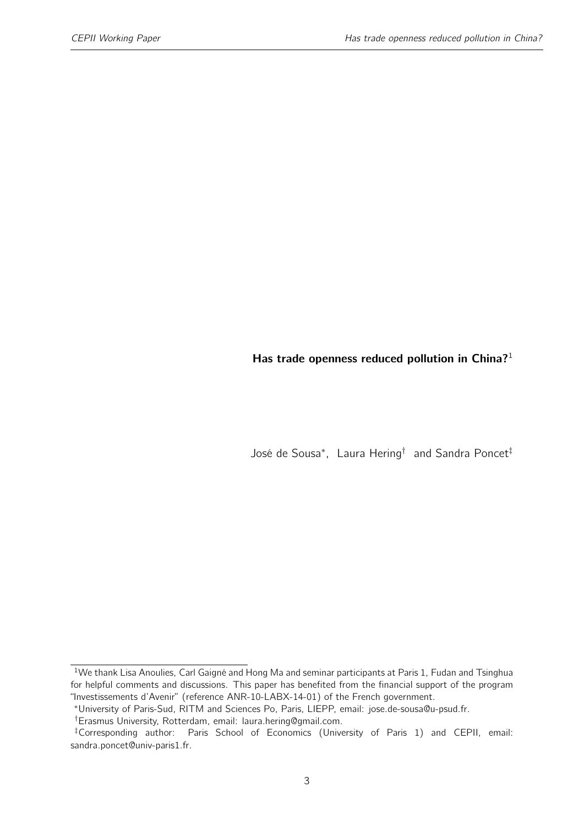#### <span id="page-2-0"></span>Has trade openness reduced pollution in China?<sup>1</sup>

José de Sousa<sup>∗</sup> , Laura Hering† and Sandra Poncet‡

<sup>&</sup>lt;sup>1</sup>We thank Lisa Anoulies, Carl Gaigné and Hong Ma and seminar participants at Paris 1, Fudan and Tsinghua for helpful comments and discussions. This paper has benefited from the financial support of the program "Investissements d'Avenir" (reference ANR-10-LABX-14-01) of the French government.

<sup>∗</sup>University of Paris-Sud, RITM and Sciences Po, Paris, LIEPP, email: jose.de-sousa@u-psud.fr.

<sup>†</sup>Erasmus University, Rotterdam, email: laura.hering@gmail.com.

<sup>‡</sup>Corresponding author: Paris School of Economics (University of Paris 1) and CEPII, email: sandra.poncet@univ-paris1.fr.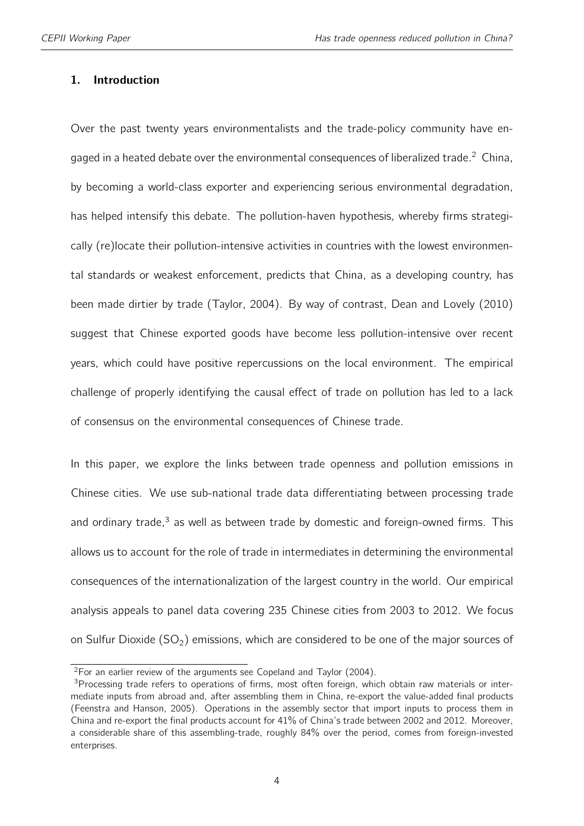#### 1. Introduction

Over the past twenty years environmentalists and the trade-policy community have en-gaged in a heated debate over the environmental consequences of liberalized trade.<sup>[2](#page-2-0)</sup> China, by becoming a world-class exporter and experiencing serious environmental degradation, has helped intensify this debate. The pollution-haven hypothesis, whereby firms strategically (re)locate their pollution-intensive activities in countries with the lowest environmental standards or weakest enforcement, predicts that China, as a developing country, has been made dirtier by trade [\(Taylor,](#page-44-0) [2004\)](#page-44-0). By way of contrast, [Dean and Lovely](#page-41-0) [\(2010\)](#page-41-0) suggest that Chinese exported goods have become less pollution-intensive over recent years, which could have positive repercussions on the local environment. The empirical challenge of properly identifying the causal effect of trade on pollution has led to a lack of consensus on the environmental consequences of Chinese trade.

In this paper, we explore the links between trade openness and pollution emissions in Chinese cities. We use sub-national trade data differentiating between processing trade and ordinary trade, $3$  as well as between trade by domestic and foreign-owned firms. This allows us to account for the role of trade in intermediates in determining the environmental consequences of the internationalization of the largest country in the world. Our empirical analysis appeals to panel data covering 235 Chinese cities from 2003 to 2012. We focus on Sulfur Dioxide  $(SO<sub>2</sub>)$  emissions, which are considered to be one of the major sources of

<sup>&</sup>lt;sup>2</sup>For an earlier review of the arguments see [Copeland and Taylor](#page-41-1) [\(2004\)](#page-41-1).

<sup>&</sup>lt;sup>3</sup>Processing trade refers to operations of firms, most often foreign, which obtain raw materials or intermediate inputs from abroad and, after assembling them in China, re-export the value-added final products [\(Feenstra and Hanson,](#page-41-2) [2005\)](#page-41-2). Operations in the assembly sector that import inputs to process them in China and re-export the final products account for 41% of China's trade between 2002 and 2012. Moreover, a considerable share of this assembling-trade, roughly 84% over the period, comes from foreign-invested enterprises.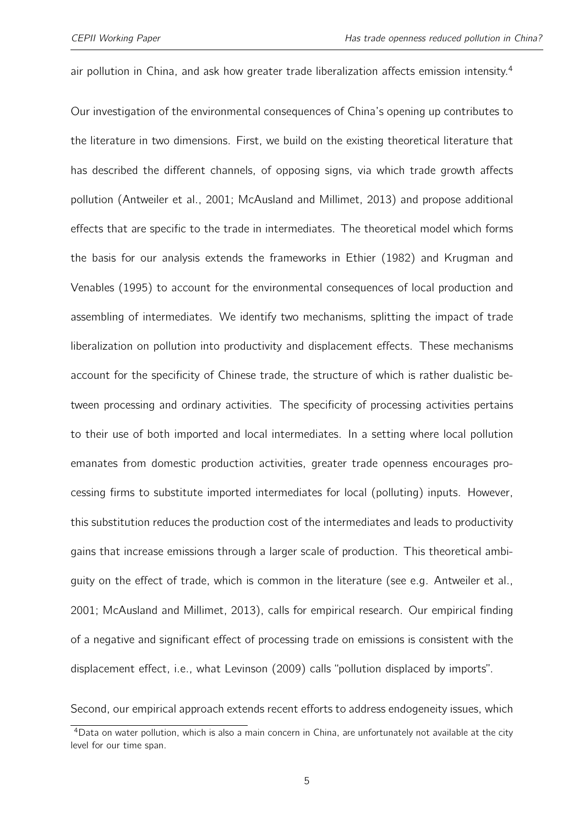air pollution in China, and ask how greater trade liberalization affects emission intensity.<sup>[4](#page-2-0)</sup>

Our investigation of the environmental consequences of China's opening up contributes to the literature in two dimensions. First, we build on the existing theoretical literature that has described the different channels, of opposing signs, via which trade growth affects pollution [\(Antweiler et al.,](#page-40-0) [2001;](#page-40-0) [McAusland and Millimet,](#page-44-1) [2013\)](#page-44-1) and propose additional effects that are specific to the trade in intermediates. The theoretical model which forms the basis for our analysis extends the frameworks in [Ethier](#page-41-3) [\(1982\)](#page-41-3) and [Krugman and](#page-43-0) [Venables](#page-43-0) [\(1995\)](#page-43-0) to account for the environmental consequences of local production and assembling of intermediates. We identify two mechanisms, splitting the impact of trade liberalization on pollution into productivity and displacement effects. These mechanisms account for the specificity of Chinese trade, the structure of which is rather dualistic between processing and ordinary activities. The specificity of processing activities pertains to their use of both imported and local intermediates. In a setting where local pollution emanates from domestic production activities, greater trade openness encourages processing firms to substitute imported intermediates for local (polluting) inputs. However, this substitution reduces the production cost of the intermediates and leads to productivity gains that increase emissions through a larger scale of production. This theoretical ambiguity on the effect of trade, which is common in the literature (see e.g. [Antweiler et al.,](#page-40-0) [2001;](#page-40-0) [McAusland and Millimet,](#page-44-1) [2013\)](#page-44-1), calls for empirical research. Our empirical finding of a negative and significant effect of processing trade on emissions is consistent with the displacement effect, i.e., what [Levinson](#page-43-1) [\(2009\)](#page-43-1) calls "pollution displaced by imports".

Second, our empirical approach extends recent efforts to address endogeneity issues, which

<sup>4</sup>Data on water pollution, which is also a main concern in China, are unfortunately not available at the city level for our time span.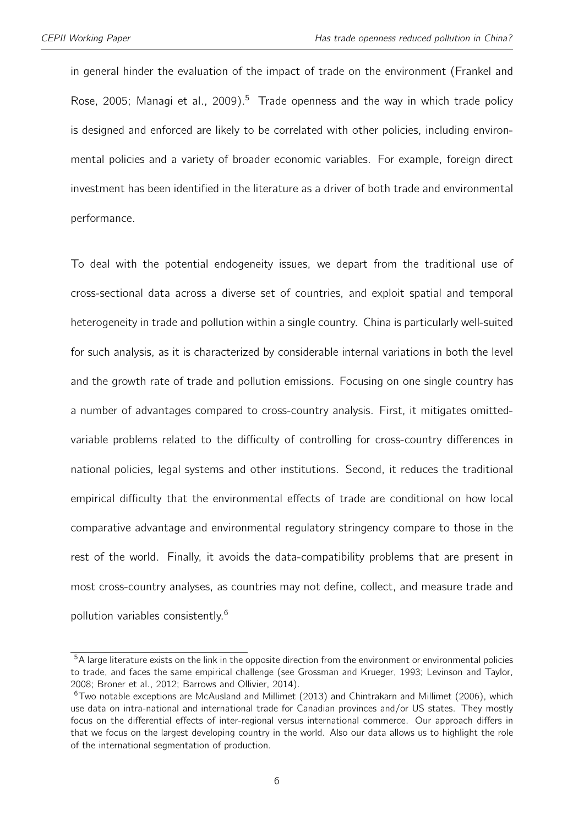in general hinder the evaluation of the impact of trade on the environment [\(Frankel and](#page-42-0) [Rose,](#page-42-0) [2005;](#page-42-0) [Managi et al.,](#page-43-2) [2009\)](#page-43-2).<sup>[5](#page-2-0)</sup> Trade openness and the way in which trade policy is designed and enforced are likely to be correlated with other policies, including environmental policies and a variety of broader economic variables. For example, foreign direct investment has been identified in the literature as a driver of both trade and environmental performance.

To deal with the potential endogeneity issues, we depart from the traditional use of cross-sectional data across a diverse set of countries, and exploit spatial and temporal heterogeneity in trade and pollution within a single country. China is particularly well-suited for such analysis, as it is characterized by considerable internal variations in both the level and the growth rate of trade and pollution emissions. Focusing on one single country has a number of advantages compared to cross-country analysis. First, it mitigates omittedvariable problems related to the difficulty of controlling for cross-country differences in national policies, legal systems and other institutions. Second, it reduces the traditional empirical difficulty that the environmental effects of trade are conditional on how local comparative advantage and environmental regulatory stringency compare to those in the rest of the world. Finally, it avoids the data-compatibility problems that are present in most cross-country analyses, as countries may not define, collect, and measure trade and pollution variables consistently.<sup>[6](#page-2-0)</sup>

<sup>&</sup>lt;sup>5</sup>A large literature exists on the link in the opposite direction from the environment or environmental policies to trade, and faces the same empirical challenge (see [Grossman and Krueger,](#page-42-1) [1993;](#page-42-1) [Levinson and Taylor,](#page-43-3) [2008;](#page-43-3) [Broner et al.,](#page-40-1) [2012;](#page-40-1) [Barrows and Ollivier,](#page-40-2) [2014\)](#page-40-2).

 $6$ Two notable exceptions are [McAusland and Millimet](#page-44-1) [\(2013\)](#page-44-1) and [Chintrakarn and Millimet](#page-41-4) [\(2006\)](#page-41-4), which use data on intra-national and international trade for Canadian provinces and/or US states. They mostly focus on the differential effects of inter-regional versus international commerce. Our approach differs in that we focus on the largest developing country in the world. Also our data allows us to highlight the role of the international segmentation of production.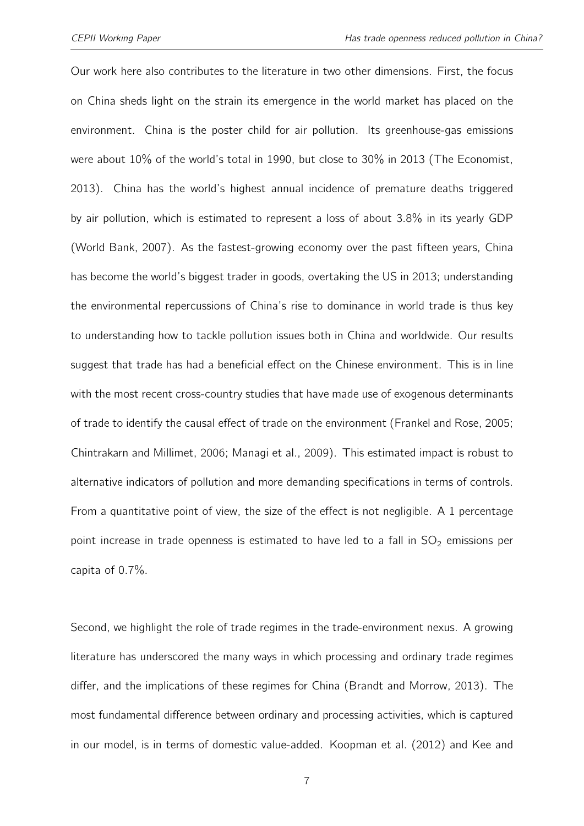Our work here also contributes to the literature in two other dimensions. First, the focus on China sheds light on the strain its emergence in the world market has placed on the environment. China is the poster child for air pollution. Its greenhouse-gas emissions were about 10% of the world's total in 1990, but close to 30% in 2013 [\(The Economist,](#page-44-2) [2013\)](#page-44-2). China has the world's highest annual incidence of premature deaths triggered by air pollution, which is estimated to represent a loss of about 3.8% in its yearly GDP [\(World Bank,](#page-44-3) [2007\)](#page-44-3). As the fastest-growing economy over the past fifteen years, China has become the world's biggest trader in goods, overtaking the US in 2013; understanding the environmental repercussions of China's rise to dominance in world trade is thus key to understanding how to tackle pollution issues both in China and worldwide. Our results suggest that trade has had a beneficial effect on the Chinese environment. This is in line with the most recent cross-country studies that have made use of exogenous determinants of trade to identify the causal effect of trade on the environment [\(Frankel and Rose,](#page-42-0) [2005;](#page-42-0) [Chintrakarn and Millimet,](#page-41-4) [2006;](#page-41-4) [Managi et al.,](#page-43-2) [2009\)](#page-43-2). This estimated impact is robust to alternative indicators of pollution and more demanding specifications in terms of controls. From a quantitative point of view, the size of the effect is not negligible. A 1 percentage point increase in trade openness is estimated to have led to a fall in  $SO_2$  emissions per capita of 0.7%.

Second, we highlight the role of trade regimes in the trade-environment nexus. A growing literature has underscored the many ways in which processing and ordinary trade regimes differ, and the implications of these regimes for China [\(Brandt and Morrow,](#page-40-3) [2013\)](#page-40-3). The most fundamental difference between ordinary and processing activities, which is captured in our model, is in terms of domestic value-added. [Koopman et al.](#page-43-4) [\(2012\)](#page-43-4) and [Kee and](#page-42-2)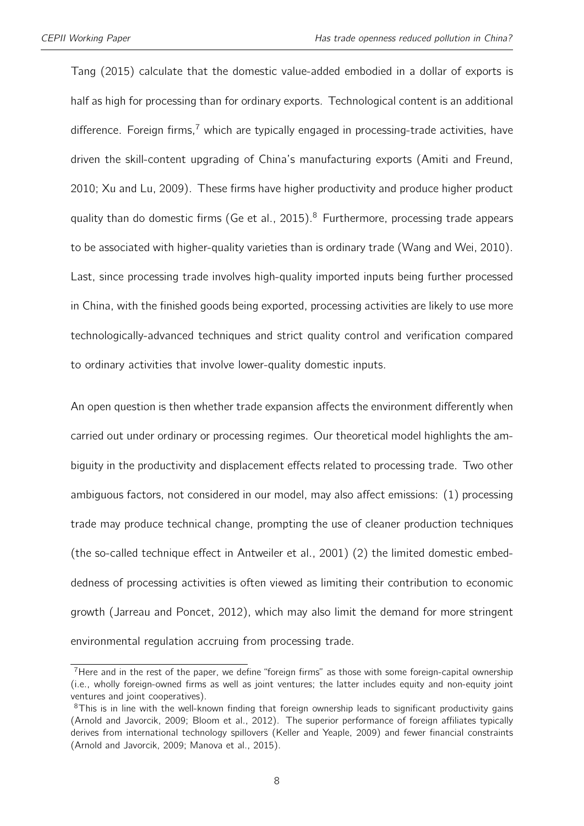[Tang](#page-42-2) [\(2015\)](#page-42-2) calculate that the domestic value-added embodied in a dollar of exports is half as high for processing than for ordinary exports. Technological content is an additional difference. Foreign firms,<sup>[7](#page-2-0)</sup> which are typically engaged in processing-trade activities, have driven the skill-content upgrading of China's manufacturing exports [\(Amiti and Freund,](#page-40-4) [2010;](#page-40-4) [Xu and Lu,](#page-45-0) [2009\)](#page-45-0). These firms have higher productivity and produce higher product quality than do domestic firms [\(Ge et al.,](#page-42-3) [2015\)](#page-42-3).<sup>[8](#page-2-0)</sup> Furthermore, processing trade appears to be associated with higher-quality varieties than is ordinary trade [\(Wang and Wei,](#page-44-4) [2010\)](#page-44-4). Last, since processing trade involves high-quality imported inputs being further processed in China, with the finished goods being exported, processing activities are likely to use more technologically-advanced techniques and strict quality control and verification compared to ordinary activities that involve lower-quality domestic inputs.

An open question is then whether trade expansion affects the environment differently when carried out under ordinary or processing regimes. Our theoretical model highlights the ambiguity in the productivity and displacement effects related to processing trade. Two other ambiguous factors, not considered in our model, may also affect emissions: (1) processing trade may produce technical change, prompting the use of cleaner production techniques (the so-called technique effect in [Antweiler et al.,](#page-40-0) [2001\)](#page-40-0) (2) the limited domestic embeddedness of processing activities is often viewed as limiting their contribution to economic growth [\(Jarreau and Poncet,](#page-42-4) [2012\)](#page-42-4), which may also limit the demand for more stringent environmental regulation accruing from processing trade.

 $7$  Here and in the rest of the paper, we define "foreign firms" as those with some foreign-capital ownership (i.e., wholly foreign-owned firms as well as joint ventures; the latter includes equity and non-equity joint ventures and joint cooperatives).

<sup>&</sup>lt;sup>8</sup>This is in line with the well-known finding that foreign ownership leads to significant productivity gains [\(Arnold and Javorcik,](#page-40-5) [2009;](#page-40-5) [Bloom et al.,](#page-40-6) [2012\)](#page-40-6). The superior performance of foreign affiliates typically derives from international technology spillovers [\(Keller and Yeaple,](#page-43-5) [2009\)](#page-43-5) and fewer financial constraints [\(Arnold and Javorcik,](#page-40-5) [2009;](#page-40-5) [Manova et al.,](#page-43-6) [2015\)](#page-43-6).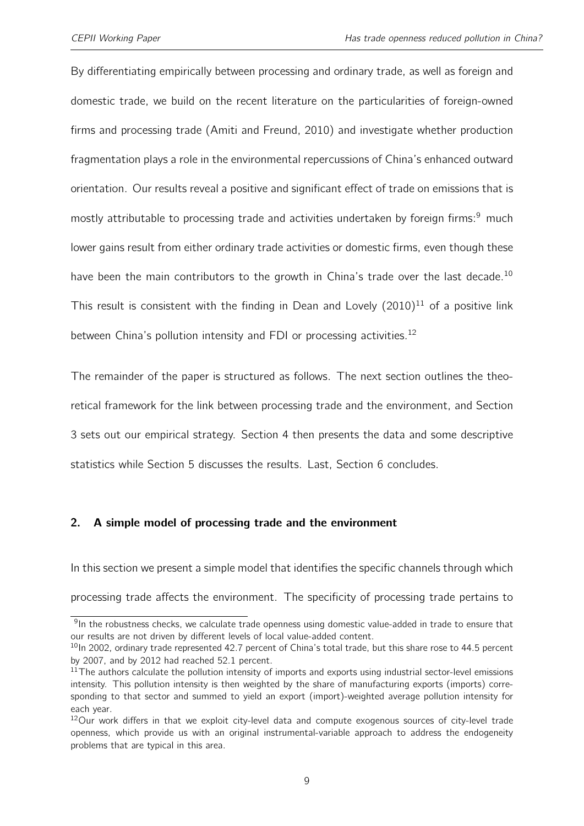By differentiating empirically between processing and ordinary trade, as well as foreign and domestic trade, we build on the recent literature on the particularities of foreign-owned firms and processing trade [\(Amiti and Freund,](#page-40-4) [2010\)](#page-40-4) and investigate whether production fragmentation plays a role in the environmental repercussions of China's enhanced outward orientation. Our results reveal a positive and significant effect of trade on emissions that is mostly attributable to processing trade and activities undertaken by foreign firms:<sup>[9](#page-2-0)</sup> much lower gains result from either ordinary trade activities or domestic firms, even though these have been the main contributors to the growth in China's trade over the last decade.<sup>[10](#page-2-0)</sup> This result is consistent with the finding in [Dean and Lovely](#page-41-0)  $(2010)^{11}$  $(2010)^{11}$  $(2010)^{11}$  $(2010)^{11}$  of a positive link between China's pollution intensity and FDI or processing activities.<sup>[12](#page-2-0)</sup>

The remainder of the paper is structured as follows. The next section outlines the theoretical framework for the link between processing trade and the environment, and Section 3 sets out our empirical strategy. Section 4 then presents the data and some descriptive statistics while Section 5 discusses the results. Last, Section 6 concludes.

#### <span id="page-8-0"></span>2. A simple model of processing trade and the environment

In this section we present a simple model that identifies the specific channels through which processing trade affects the environment. The specificity of processing trade pertains to

<sup>&</sup>lt;sup>9</sup>In the robustness checks, we calculate trade openness using domestic value-added in trade to ensure that our results are not driven by different levels of local value-added content.

<sup>&</sup>lt;sup>10</sup>In 2002, ordinary trade represented 42.7 percent of China's total trade, but this share rose to 44.5 percent by 2007, and by 2012 had reached 52.1 percent.

 $11$ The authors calculate the pollution intensity of imports and exports using industrial sector-level emissions intensity. This pollution intensity is then weighted by the share of manufacturing exports (imports) corresponding to that sector and summed to yield an export (import)-weighted average pollution intensity for each year.

<sup>&</sup>lt;sup>12</sup>Our work differs in that we exploit city-level data and compute exogenous sources of city-level trade openness, which provide us with an original instrumental-variable approach to address the endogeneity problems that are typical in this area.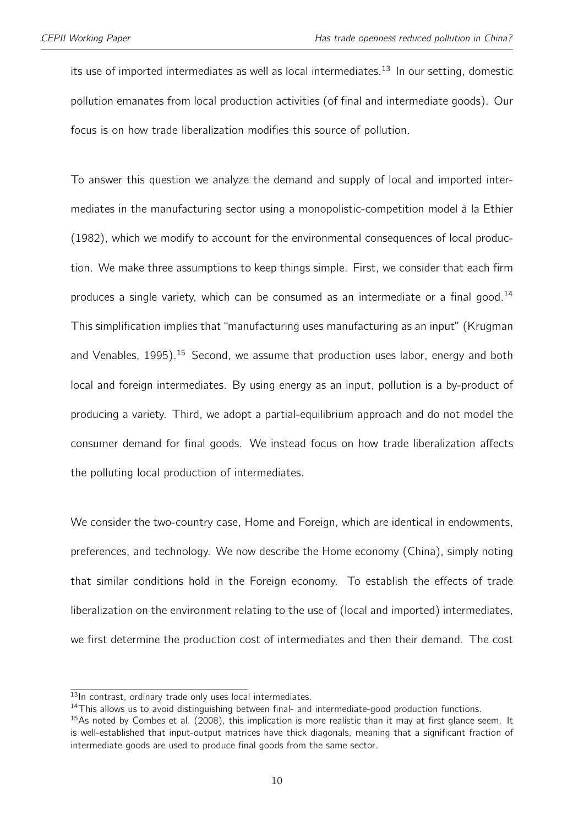its use of imported intermediates as well as local intermediates.<sup>[13](#page-2-0)</sup> In our setting, domestic pollution emanates from local production activities (of final and intermediate goods). Our focus is on how trade liberalization modifies this source of pollution.

To answer this question we analyze the demand and supply of local and imported intermediates in the manufacturing sector using a monopolistic-competition model à la [Ethier](#page-41-3) [\(1982\)](#page-41-3), which we modify to account for the environmental consequences of local production. We make three assumptions to keep things simple. First, we consider that each firm produces a single variety, which can be consumed as an intermediate or a final good.<sup>[14](#page-2-0)</sup> This simplification implies that "manufacturing uses manufacturing as an input" [\(Krugman](#page-43-0) [and Venables,](#page-43-0) [1995\)](#page-43-0).<sup>[15](#page-2-0)</sup> Second, we assume that production uses labor, energy and both local and foreign intermediates. By using energy as an input, pollution is a by-product of producing a variety. Third, we adopt a partial-equilibrium approach and do not model the consumer demand for final goods. We instead focus on how trade liberalization affects the polluting local production of intermediates.

We consider the two-country case, Home and Foreign, which are identical in endowments, preferences, and technology. We now describe the Home economy (China), simply noting that similar conditions hold in the Foreign economy. To establish the effects of trade liberalization on the environment relating to the use of (local and imported) intermediates, we first determine the production cost of intermediates and then their demand. The cost

 $\overline{^{13}}$ In contrast, ordinary trade only uses local intermediates.

<sup>&</sup>lt;sup>14</sup>This allows us to avoid distinguishing between final- and intermediate-good production functions.

<sup>&</sup>lt;sup>15</sup>As noted by [Combes et al.](#page-41-5) [\(2008\)](#page-41-5), this implication is more realistic than it may at first glance seem. It is well-established that input-output matrices have thick diagonals, meaning that a significant fraction of intermediate goods are used to produce final goods from the same sector.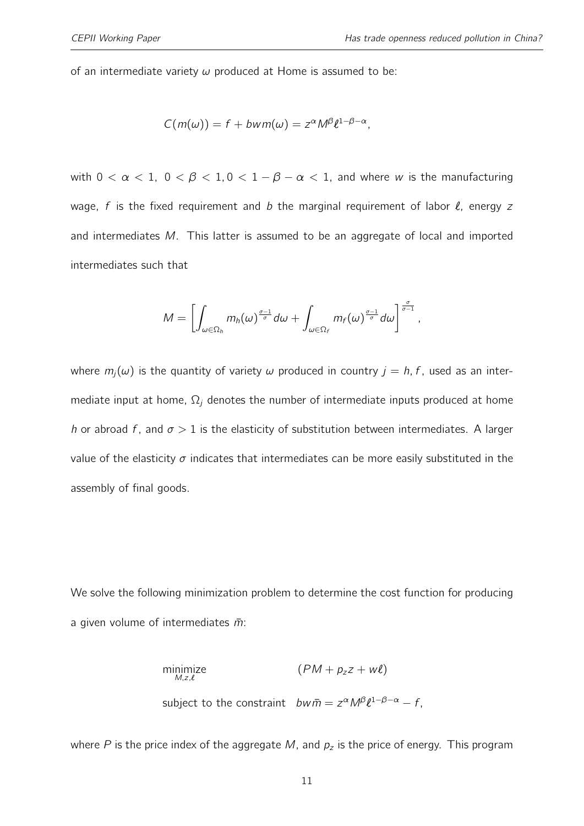of an intermediate variety  $\omega$  produced at Home is assumed to be:

$$
C(m(\omega)) = f + bwm(\omega) = z^{\alpha} M^{\beta} \ell^{1-\beta-\alpha},
$$

with  $0 < \alpha < 1$ ,  $0 < \beta < 1$ ,  $0 < 1 - \beta - \alpha < 1$ , and where w is the manufacturing wage, f is the fixed requirement and b the marginal requirement of labor  $\ell$ , energy z and intermediates M. This latter is assumed to be an aggregate of local and imported intermediates such that

$$
M=\left[\int_{\omega\in\Omega_h}m_h(\omega)^{\frac{\sigma-1}{\sigma}}d\omega+\int_{\omega\in\Omega_f}m_f(\omega)^{\frac{\sigma-1}{\sigma}}d\omega\right]^{\frac{\sigma}{\sigma-1}},
$$

where  $m_i(\omega)$  is the quantity of variety  $\omega$  produced in country  $j = h, f$ , used as an intermediate input at home,  $\Omega_j$  denotes the number of intermediate inputs produced at home h or abroad f, and  $\sigma > 1$  is the elasticity of substitution between intermediates. A larger value of the elasticity  $\sigma$  indicates that intermediates can be more easily substituted in the assembly of final goods.

We solve the following minimization problem to determine the cost function for producing a given volume of intermediates  $\bar{m}$ :

minimize 
$$
(PM + p_z z + w\ell)
$$
  
\nsubject to the constraint  $b w \bar{m} = z^{\alpha} M^{\beta} \ell^{1-\beta-\alpha} - f$ ,

where P is the price index of the aggregate M, and  $p_z$  is the price of energy. This program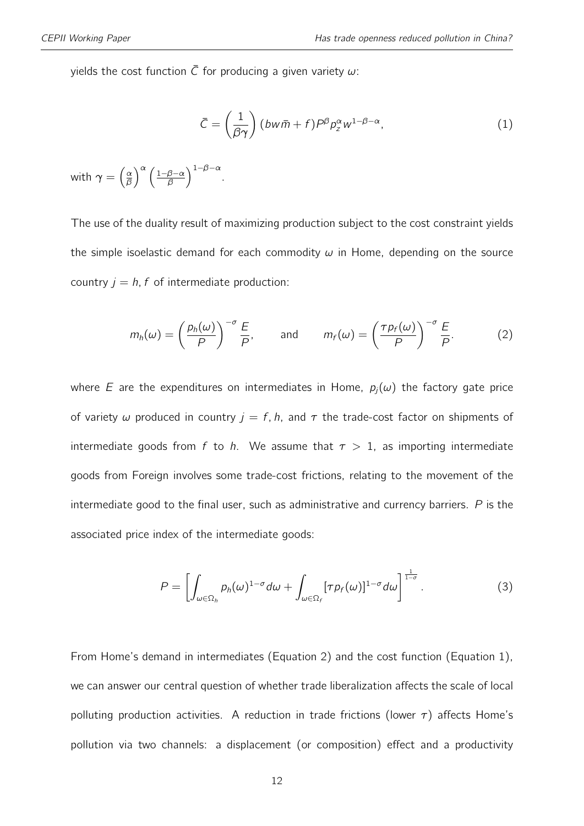yields the cost function  $\overline{C}$  for producing a given variety  $\omega$ :

<span id="page-11-1"></span><span id="page-11-0"></span>
$$
\bar{C} = \left(\frac{1}{\beta\gamma}\right) (bw\bar{m} + f)P^{\beta}p_{z}^{\alpha}w^{1-\beta-\alpha},\tag{1}
$$

with  $\gamma = \left(\frac{\alpha}{\beta}\right)$  $\frac{\alpha}{\beta}$   $\left(\frac{1-\beta-\alpha}{\beta}\right)$  $\frac{\beta-\alpha}{\beta}\Big)^{1-\beta-\alpha}.$ 

The use of the duality result of maximizing production subject to the cost constraint yields the simple isoelastic demand for each commodity  $\omega$  in Home, depending on the source country  $j = h$ , f of intermediate production:

$$
m_h(\omega) = \left(\frac{p_h(\omega)}{P}\right)^{-\sigma} \frac{E}{P}, \quad \text{and} \quad m_f(\omega) = \left(\frac{\tau p_f(\omega)}{P}\right)^{-\sigma} \frac{E}{P}.
$$
 (2)

where E are the expenditures on intermediates in Home,  $p_i(\omega)$  the factory gate price of variety  $\omega$  produced in country  $j = f$ , h, and  $\tau$  the trade-cost factor on shipments of intermediate goods from f to h. We assume that  $\tau > 1$ , as importing intermediate goods from Foreign involves some trade-cost frictions, relating to the movement of the intermediate good to the final user, such as administrative and currency barriers.  $P$  is the associated price index of the intermediate goods:

<span id="page-11-2"></span>
$$
P = \left[ \int_{\omega \in \Omega_h} p_h(\omega)^{1-\sigma} d\omega + \int_{\omega \in \Omega_f} [\tau p_f(\omega)]^{1-\sigma} d\omega \right]^{\frac{1}{1-\sigma}}.
$$
 (3)

From Home's demand in intermediates (Equation [2\)](#page-11-0) and the cost function (Equation [1\)](#page-11-1), we can answer our central question of whether trade liberalization affects the scale of local polluting production activities. A reduction in trade frictions (lower  $\tau$ ) affects Home's pollution via two channels: a displacement (or composition) effect and a productivity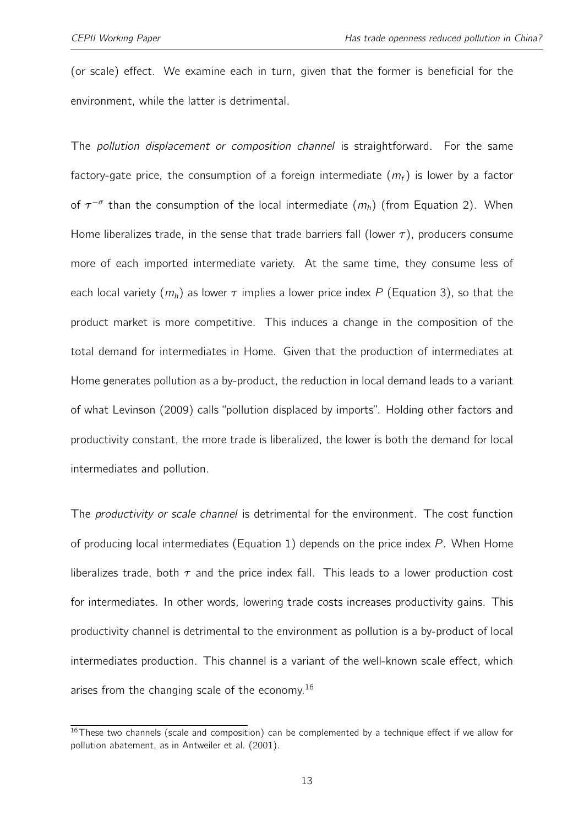(or scale) effect. We examine each in turn, given that the former is beneficial for the environment, while the latter is detrimental.

The pollution displacement or composition channel is straightforward. For the same factory-gate price, the consumption of a foreign intermediate  $(m_f)$  is lower by a factor of  $\tau^{-\sigma}$  than the consumption of the local intermediate  $(m_h)$  (from Equation [2\)](#page-11-0). When Home liberalizes trade, in the sense that trade barriers fall (lower  $\tau$ ), producers consume more of each imported intermediate variety. At the same time, they consume less of each local variety  $(m_h)$  as lower  $\tau$  implies a lower price index P (Equation [3\)](#page-11-2), so that the product market is more competitive. This induces a change in the composition of the total demand for intermediates in Home. Given that the production of intermediates at Home generates pollution as a by-product, the reduction in local demand leads to a variant of what [Levinson](#page-43-1) [\(2009\)](#page-43-1) calls "pollution displaced by imports". Holding other factors and productivity constant, the more trade is liberalized, the lower is both the demand for local intermediates and pollution.

The *productivity or scale channel* is detrimental for the environment. The cost function of producing local intermediates (Equation [1\)](#page-11-1) depends on the price index P. When Home liberalizes trade, both  $\tau$  and the price index fall. This leads to a lower production cost for intermediates. In other words, lowering trade costs increases productivity gains. This productivity channel is detrimental to the environment as pollution is a by-product of local intermediates production. This channel is a variant of the well-known scale effect, which arises from the changing scale of the economy.<sup>[16](#page-2-0)</sup>

<sup>&</sup>lt;sup>16</sup>These two channels (scale and composition) can be complemented by a technique effect if we allow for pollution abatement, as in [Antweiler et al.](#page-40-0) [\(2001\)](#page-40-0).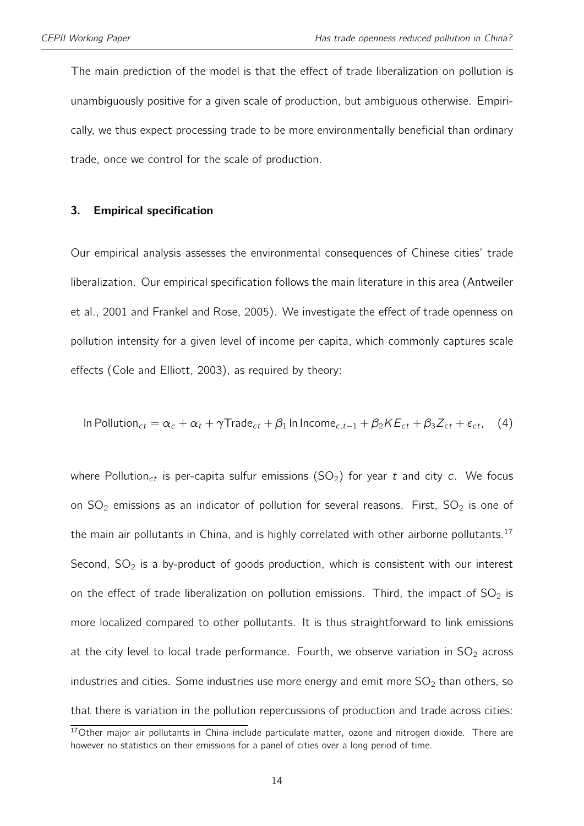The main prediction of the model is that the effect of trade liberalization on pollution is unambiguously positive for a given scale of production, but ambiguous otherwise. Empirically, we thus expect processing trade to be more environmentally beneficial than ordinary trade, once we control for the scale of production.

#### 3. Empirical specification

Our empirical analysis assesses the environmental consequences of Chinese cities' trade liberalization. Our empirical specification follows the main literature in this area [\(Antweiler](#page-40-0) [et al.,](#page-40-0) [2001](#page-40-0) and [Frankel and Rose,](#page-42-0) [2005\)](#page-42-0). We investigate the effect of trade openness on pollution intensity for a given level of income per capita, which commonly captures scale effects [\(Cole and Elliott,](#page-41-6) [2003\)](#page-41-6), as required by theory:

<span id="page-13-0"></span>In Pollution<sub>ct</sub> = 
$$
\alpha_c + \alpha_t + \gamma \text{Trade}_{ct} + \beta_1 \ln \text{ Income}_{c,t-1} + \beta_2 KE_{ct} + \beta_3 Z_{ct} + \epsilon_{ct}
$$
, (4)

where Pollution<sub>ct</sub> is per-capita sulfur emissions (SO<sub>2</sub>) for year t and city c. We focus on  $SO_2$  emissions as an indicator of pollution for several reasons. First,  $SO_2$  is one of the main air pollutants in China, and is highly correlated with other airborne pollutants.<sup>[17](#page-2-0)</sup> Second,  $SO<sub>2</sub>$  is a by-product of goods production, which is consistent with our interest on the effect of trade liberalization on pollution emissions. Third, the impact of  $SO_2$  is more localized compared to other pollutants. It is thus straightforward to link emissions at the city level to local trade performance. Fourth, we observe variation in  $SO_2$  across industries and cities. Some industries use more energy and emit more  $SO<sub>2</sub>$  than others, so that there is variation in the pollution repercussions of production and trade across cities:

 $17$ Other major air pollutants in China include particulate matter, ozone and nitrogen dioxide. There are however no statistics on their emissions for a panel of cities over a long period of time.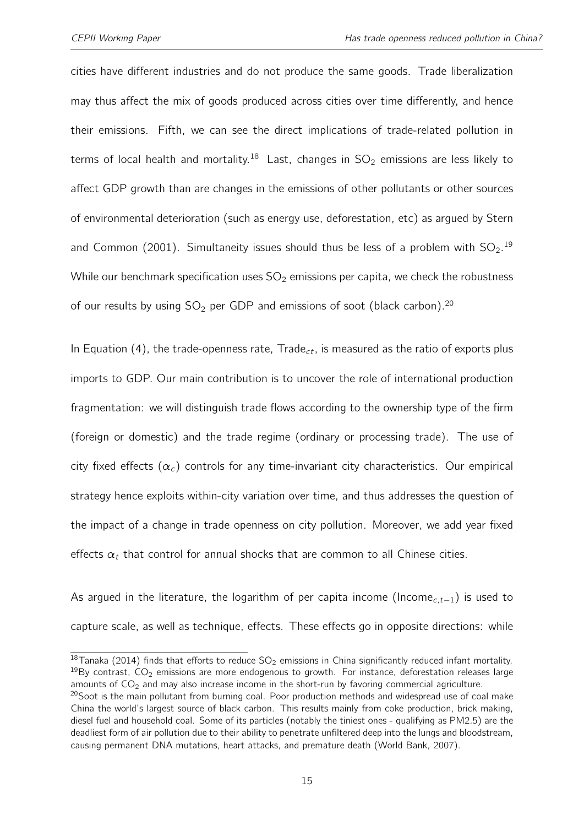cities have different industries and do not produce the same goods. Trade liberalization may thus affect the mix of goods produced across cities over time differently, and hence their emissions. Fifth, we can see the direct implications of trade-related pollution in terms of local health and mortality.<sup>[18](#page-2-0)</sup> Last, changes in  $SO_2$  emissions are less likely to affect GDP growth than are changes in the emissions of other pollutants or other sources of environmental deterioration (such as energy use, deforestation, etc) as argued by [Stern](#page-44-5) [and Common](#page-44-5) [\(2001\)](#page-44-5). Simultaneity issues should thus be less of a problem with  $SO_2$ .<sup>[19](#page-2-0)</sup> While our benchmark specification uses  $SO_2$  emissions per capita, we check the robustness of our results by using  $SO_2$  per GDP and emissions of soot (black carbon).<sup>[20](#page-2-0)</sup>

In Equation [\(4\)](#page-13-0), the trade-openness rate, Trade<sub>ct</sub>, is measured as the ratio of exports plus imports to GDP. Our main contribution is to uncover the role of international production fragmentation: we will distinguish trade flows according to the ownership type of the firm (foreign or domestic) and the trade regime (ordinary or processing trade). The use of city fixed effects  $(\alpha_c)$  controls for any time-invariant city characteristics. Our empirical strategy hence exploits within-city variation over time, and thus addresses the question of the impact of a change in trade openness on city pollution. Moreover, we add year fixed effects  $\alpha_t$  that control for annual shocks that are common to all Chinese cities.

As argued in the literature, the logarithm of per capita income (Income<sub>c.t−1</sub>) is used to capture scale, as well as technique, effects. These effects go in opposite directions: while

<sup>18</sup>[Tanaka](#page-44-6) [\(2014\)](#page-44-6) finds that efforts to reduce  $SO_2$  emissions in China significantly reduced infant mortality.  $19$ By contrast,  $CO<sub>2</sub>$  emissions are more endogenous to growth. For instance, deforestation releases large amounts of  $CO<sub>2</sub>$  and may also increase income in the short-run by favoring commercial agriculture.

<sup>&</sup>lt;sup>20</sup>Soot is the main pollutant from burning coal. Poor production methods and widespread use of coal make China the world's largest source of black carbon. This results mainly from coke production, brick making, diesel fuel and household coal. Some of its particles (notably the tiniest ones - qualifying as PM2.5) are the deadliest form of air pollution due to their ability to penetrate unfiltered deep into the lungs and bloodstream, causing permanent DNA mutations, heart attacks, and premature death [\(World Bank,](#page-44-3) [2007\)](#page-44-3).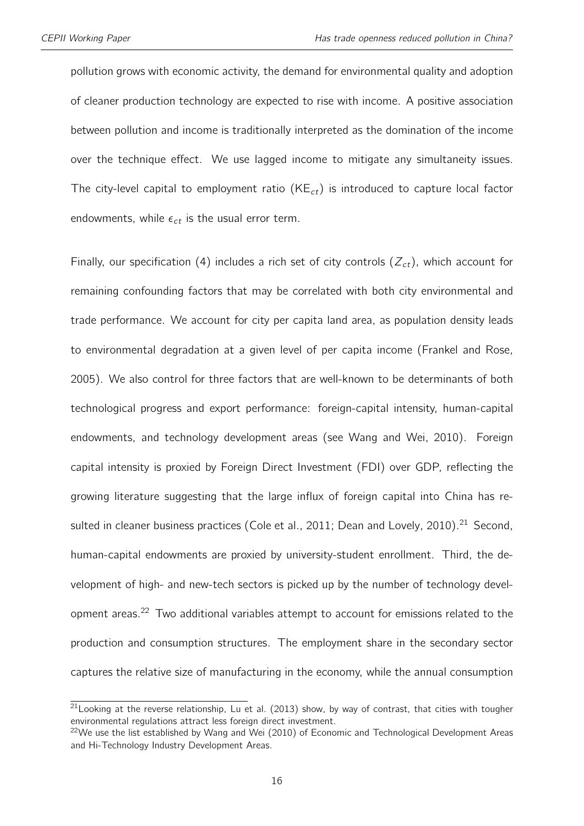pollution grows with economic activity, the demand for environmental quality and adoption of cleaner production technology are expected to rise with income. A positive association between pollution and income is traditionally interpreted as the domination of the income over the technique effect. We use lagged income to mitigate any simultaneity issues. The city-level capital to employment ratio ( $KE<sub>ct</sub>$ ) is introduced to capture local factor endowments, while  $\epsilon_{ct}$  is the usual error term.

Finally, our specification [\(4\)](#page-13-0) includes a rich set of city controls  $(Z_{ct})$ , which account for remaining confounding factors that may be correlated with both city environmental and trade performance. We account for city per capita land area, as population density leads to environmental degradation at a given level of per capita income [\(Frankel and Rose,](#page-42-0) [2005\)](#page-42-0). We also control for three factors that are well-known to be determinants of both technological progress and export performance: foreign-capital intensity, human-capital endowments, and technology development areas (see [Wang and Wei,](#page-44-4) [2010\)](#page-44-4). Foreign capital intensity is proxied by Foreign Direct Investment (FDI) over GDP, reflecting the growing literature suggesting that the large influx of foreign capital into China has re-sulted in cleaner business practices [\(Cole et al.,](#page-41-7) [2011;](#page-41-7) [Dean and Lovely,](#page-41-0) [2010\)](#page-41-0).<sup>[21](#page-2-0)</sup> Second, human-capital endowments are proxied by university-student enrollment. Third, the development of high- and new-tech sectors is picked up by the number of technology development areas.[22](#page-2-0) Two additional variables attempt to account for emissions related to the production and consumption structures. The employment share in the secondary sector captures the relative size of manufacturing in the economy, while the annual consumption

 $21$  Looking at the reverse relationship, [Lu et al.](#page-43-7) [\(2013\)](#page-43-7) show, by way of contrast, that cities with tougher environmental regulations attract less foreign direct investment.

<sup>&</sup>lt;sup>22</sup>We use the list established by [Wang and Wei](#page-44-4) [\(2010\)](#page-44-4) of Economic and Technological Development Areas and Hi-Technology Industry Development Areas.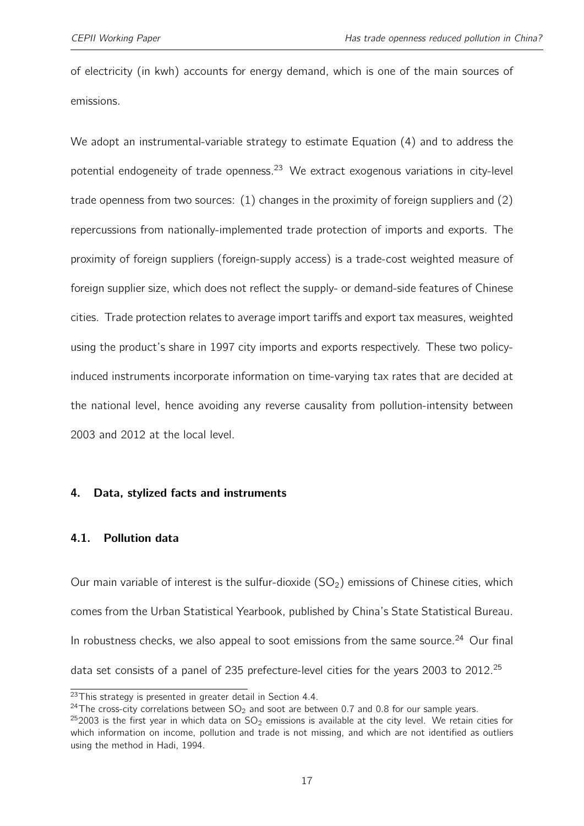of electricity (in kwh) accounts for energy demand, which is one of the main sources of emissions.

We adopt an instrumental-variable strategy to estimate Equation [\(4\)](#page-13-0) and to address the potential endogeneity of trade openness.<sup>[23](#page-2-0)</sup> We extract exogenous variations in city-level trade openness from two sources: (1) changes in the proximity of foreign suppliers and (2) repercussions from nationally-implemented trade protection of imports and exports. The proximity of foreign suppliers (foreign-supply access) is a trade-cost weighted measure of foreign supplier size, which does not reflect the supply- or demand-side features of Chinese cities. Trade protection relates to average import tariffs and export tax measures, weighted using the product's share in 1997 city imports and exports respectively. These two policyinduced instruments incorporate information on time-varying tax rates that are decided at the national level, hence avoiding any reverse causality from pollution-intensity between 2003 and 2012 at the local level.

#### 4. Data, stylized facts and instruments

#### 4.1. Pollution data

Our main variable of interest is the sulfur-dioxide  $(SO<sub>2</sub>)$  emissions of Chinese cities, which comes from the Urban Statistical Yearbook, published by China's State Statistical Bureau. In robustness checks, we also appeal to soot emissions from the same source.<sup>[24](#page-2-0)</sup> Our final data set consists of a panel of 235 prefecture-level cities for the years 2003 to 2012.<sup>[25](#page-2-0)</sup>

<sup>&</sup>lt;sup>23</sup>This strategy is presented in greater detail in Section [4.4.](#page-18-0)

<sup>&</sup>lt;sup>24</sup>The cross-city correlations between  $SO_2$  and soot are between 0.7 and 0.8 for our sample years.

 $252003$  is the first year in which data on  $SO_2$  emissions is available at the city level. We retain cities for which information on income, pollution and trade is not missing, and which are not identified as outliers using the method in [Hadi,](#page-42-5) [1994.](#page-42-5)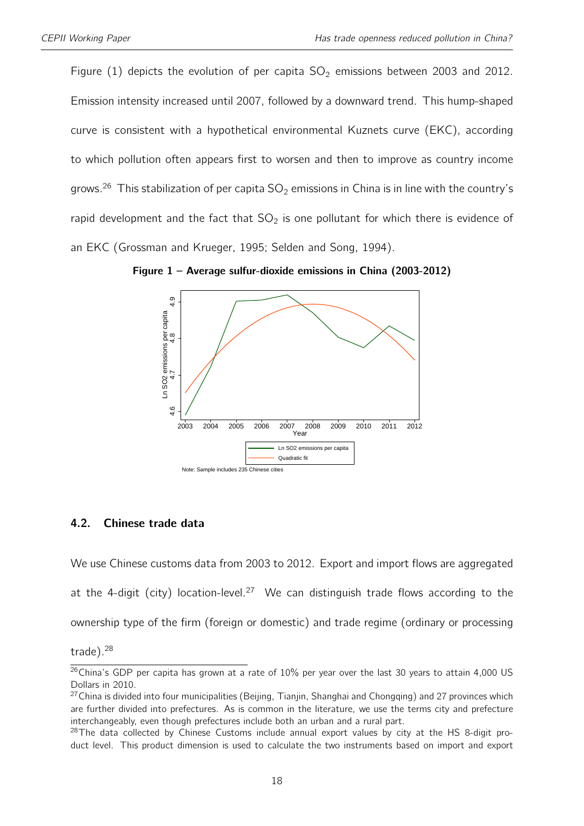Figure [\(1\)](#page-17-0) depicts the evolution of per capita  $SO_2$  emissions between 2003 and 2012. Emission intensity increased until 2007, followed by a downward trend. This hump-shaped curve is consistent with a hypothetical environmental Kuznets curve (EKC), according to which pollution often appears first to worsen and then to improve as country income grows.<sup>[26](#page-2-0)</sup> This stabilization of per capita  $SO_2$  emissions in China is in line with the country's rapid development and the fact that  $SO_2$  is one pollutant for which there is evidence of an EKC [\(Grossman and Krueger,](#page-42-6) [1995;](#page-42-6) [Selden and Song,](#page-44-7) [1994\)](#page-44-7).



<span id="page-17-0"></span>Figure 1 – Average sulfur-dioxide emissions in China (2003-2012)

#### 4.2. Chinese trade data

We use Chinese customs data from 2003 to 2012. Export and import flows are aggregated at the 4-digit (city) location-level.<sup>[27](#page-2-0)</sup> We can distinguish trade flows according to the ownership type of the firm (foreign or domestic) and trade regime (ordinary or processing

trade).[28](#page-2-0)

<sup>&</sup>lt;sup>26</sup>China's GDP per capita has grown at a rate of 10% per year over the last 30 years to attain 4,000 US Dollars in 2010.

 $27$ China is divided into four municipalities (Beijing, Tianjin, Shanghai and Chongqing) and 27 provinces which are further divided into prefectures. As is common in the literature, we use the terms city and prefecture interchangeably, even though prefectures include both an urban and a rural part.

 $28$ The data collected by Chinese Customs include annual export values by city at the HS 8-digit product level. This product dimension is used to calculate the two instruments based on import and export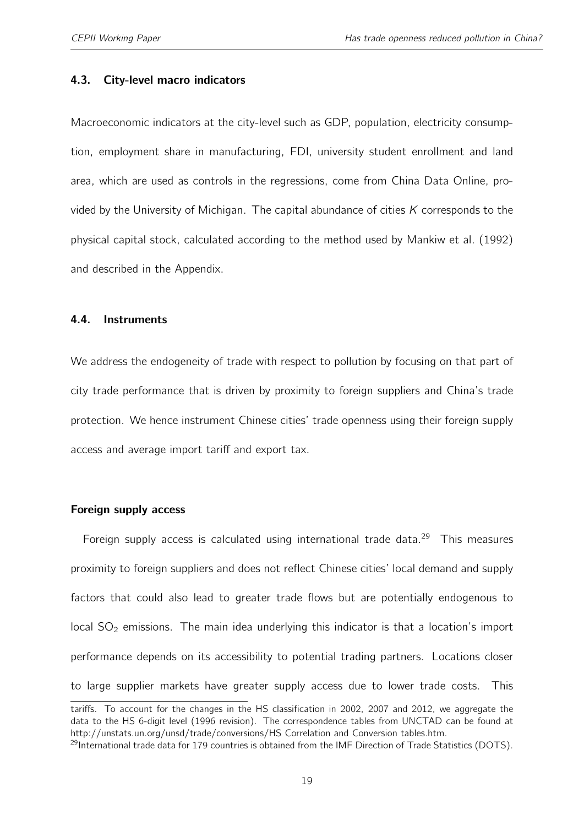#### 4.3. City-level macro indicators

Macroeconomic indicators at the city-level such as GDP, population, electricity consumption, employment share in manufacturing, FDI, university student enrollment and land area, which are used as controls in the regressions, come from China Data Online, provided by the University of Michigan. The capital abundance of cities  $K$  corresponds to the physical capital stock, calculated according to the method used by [Mankiw et al.](#page-43-8) [\(1992\)](#page-43-8) and described in the Appendix.

#### <span id="page-18-0"></span>4.4. Instruments

We address the endogeneity of trade with respect to pollution by focusing on that part of city trade performance that is driven by proximity to foreign suppliers and China's trade protection. We hence instrument Chinese cities' trade openness using their foreign supply access and average import tariff and export tax.

#### Foreign supply access

Foreign supply access is calculated using international trade data.<sup>[29](#page-2-0)</sup> This measures proximity to foreign suppliers and does not reflect Chinese cities' local demand and supply factors that could also lead to greater trade flows but are potentially endogenous to local  $SO<sub>2</sub>$  emissions. The main idea underlying this indicator is that a location's import performance depends on its accessibility to potential trading partners. Locations closer to large supplier markets have greater supply access due to lower trade costs. This

tariffs. To account for the changes in the HS classification in 2002, 2007 and 2012, we aggregate the data to the HS 6-digit level (1996 revision). The correspondence tables from UNCTAD can be found at http://unstats.un.org/unsd/trade/conversions/HS Correlation and Conversion tables.htm.

<sup>&</sup>lt;sup>29</sup>International trade data for 179 countries is obtained from the IMF Direction of Trade Statistics (DOTS).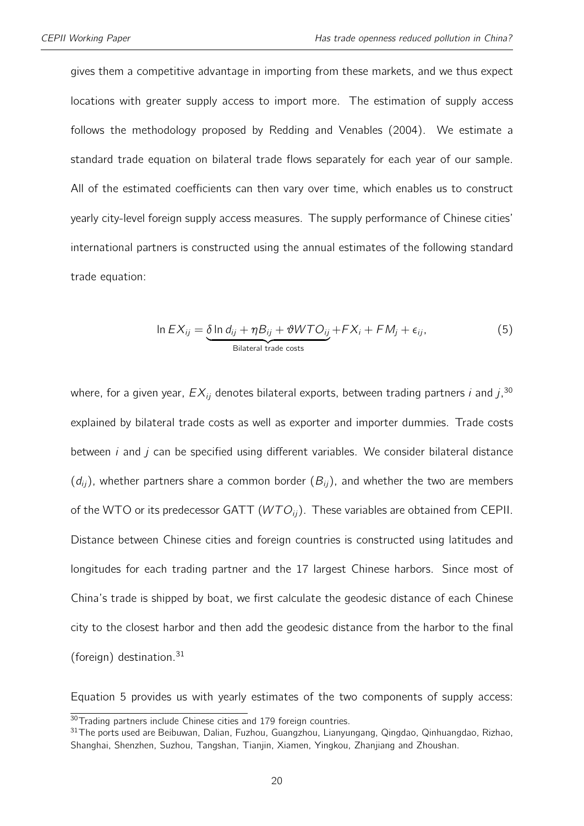gives them a competitive advantage in importing from these markets, and we thus expect locations with greater supply access to import more. The estimation of supply access follows the methodology proposed by [Redding and Venables](#page-44-8) [\(2004\)](#page-44-8). We estimate a standard trade equation on bilateral trade flows separately for each year of our sample. All of the estimated coefficients can then vary over time, which enables us to construct yearly city-level foreign supply access measures. The supply performance of Chinese cities' international partners is constructed using the annual estimates of the following standard trade equation:

<span id="page-19-0"></span>
$$
\ln EX_{ij} = \underbrace{\delta \ln d_{ij} + \eta B_{ij} + \vartheta WTO_{ij}}_{\text{Bilateral trade costs}} + FX_i + FM_j + \epsilon_{ij},
$$
\n(5)

where, for a given year,  $EX_{ij}$  denotes bilateral exports, between trading partners  $i$  and  $j, ^{30}$  $j, ^{30}$  $j, ^{30}$ explained by bilateral trade costs as well as exporter and importer dummies. Trade costs between  $i$  and  $j$  can be specified using different variables. We consider bilateral distance  $(d_{ii})$ , whether partners share a common border  $(B_{ii})$ , and whether the two are members of the WTO or its predecessor GATT  $(WTO_{ii})$ . These variables are obtained from CEPII. Distance between Chinese cities and foreign countries is constructed using latitudes and longitudes for each trading partner and the 17 largest Chinese harbors. Since most of China's trade is shipped by boat, we first calculate the geodesic distance of each Chinese city to the closest harbor and then add the geodesic distance from the harbor to the final (foreign) destination.<sup>[31](#page-2-0)</sup>

Equation [5](#page-19-0) provides us with yearly estimates of the two components of supply access:

<sup>30</sup> Trading partners include Chinese cities and 179 foreign countries.

<sup>&</sup>lt;sup>31</sup>The ports used are Beibuwan, Dalian, Fuzhou, Guangzhou, Lianyungang, Qingdao, Qinhuangdao, Rizhao, Shanghai, Shenzhen, Suzhou, Tangshan, Tianjin, Xiamen, Yingkou, Zhanjiang and Zhoushan.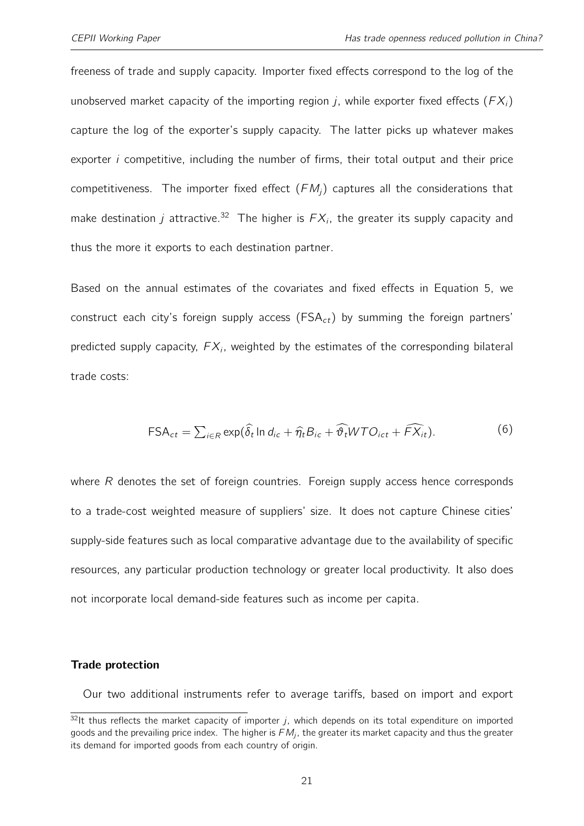freeness of trade and supply capacity. Importer fixed effects correspond to the log of the unobserved market capacity of the importing region j, while exporter fixed effects ( $FX_i$ ) capture the log of the exporter's supply capacity. The latter picks up whatever makes exporter  $i$  competitive, including the number of firms, their total output and their price competitiveness. The importer fixed effect  $(FM_i)$  captures all the considerations that make destination *j* attractive.<sup>[32](#page-2-0)</sup> The higher is  $FX_i$ , the greater its supply capacity and thus the more it exports to each destination partner.

Based on the annual estimates of the covariates and fixed effects in Equation [5,](#page-19-0) we construct each city's foreign supply access ( $FSA<sub>ct</sub>$ ) by summing the foreign partners' predicted supply capacity,  $FX_i$ , weighted by the estimates of the corresponding bilateral trade costs:

$$
\text{FSA}_{ct} = \sum_{i \in R} \exp(\hat{\delta}_t \ln d_{ic} + \hat{\eta}_t B_{ic} + \hat{\vartheta}_t WTO_{ict} + \widehat{FX}_{it}). \tag{6}
$$

where R denotes the set of foreign countries. Foreign supply access hence corresponds to a trade-cost weighted measure of suppliers' size. It does not capture Chinese cities' supply-side features such as local comparative advantage due to the availability of specific resources, any particular production technology or greater local productivity. It also does not incorporate local demand-side features such as income per capita.

#### Trade protection

Our two additional instruments refer to average tariffs, based on import and export

 $32$ It thus reflects the market capacity of importer j, which depends on its total expenditure on imported goods and the prevailing price index. The higher is  $\mathit{FM}_j$ , the greater its market capacity and thus the greater its demand for imported goods from each country of origin.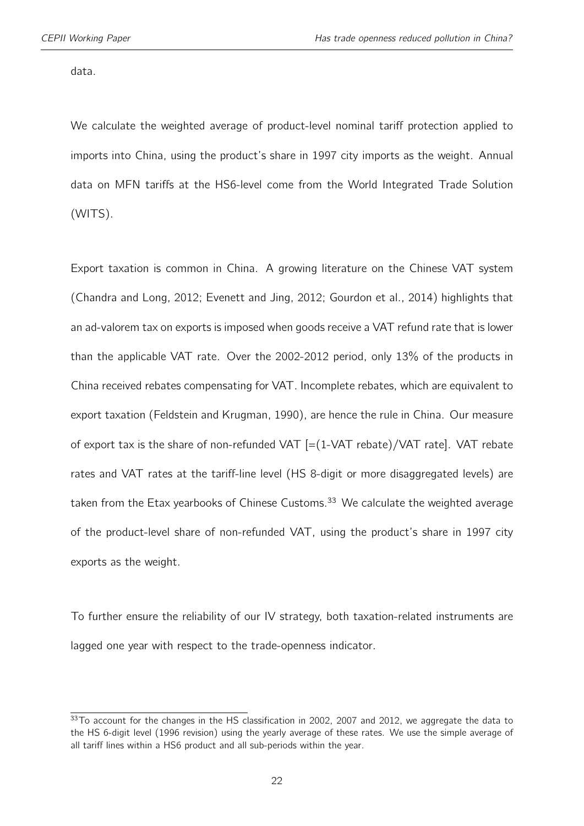data.

We calculate the weighted average of product-level nominal tariff protection applied to imports into China, using the product's share in 1997 city imports as the weight. Annual data on MFN tariffs at the HS6-level come from the World Integrated Trade Solution (WITS).

Export taxation is common in China. A growing literature on the Chinese VAT system [\(Chandra and Long,](#page-41-8) [2012;](#page-41-8) [Evenett and Jing,](#page-41-9) [2012;](#page-41-9) [Gourdon et al.,](#page-42-7) [2014\)](#page-42-7) highlights that an ad-valorem tax on exports is imposed when goods receive a VAT refund rate that is lower than the applicable VAT rate. Over the 2002-2012 period, only 13% of the products in China received rebates compensating for VAT. Incomplete rebates, which are equivalent to export taxation [\(Feldstein and Krugman,](#page-42-8) [1990\)](#page-42-8), are hence the rule in China. Our measure of export tax is the share of non-refunded VAT [=(1-VAT rebate)/VAT rate]. VAT rebate rates and VAT rates at the tariff-line level (HS 8-digit or more disaggregated levels) are taken from the Etax yearbooks of Chinese Customs. $33$  We calculate the weighted average of the product-level share of non-refunded VAT, using the product's share in 1997 city exports as the weight.

To further ensure the reliability of our IV strategy, both taxation-related instruments are lagged one year with respect to the trade-openness indicator.

<sup>33</sup>To account for the changes in the HS classification in 2002, 2007 and 2012, we aggregate the data to the HS 6-digit level (1996 revision) using the yearly average of these rates. We use the simple average of all tariff lines within a HS6 product and all sub-periods within the year.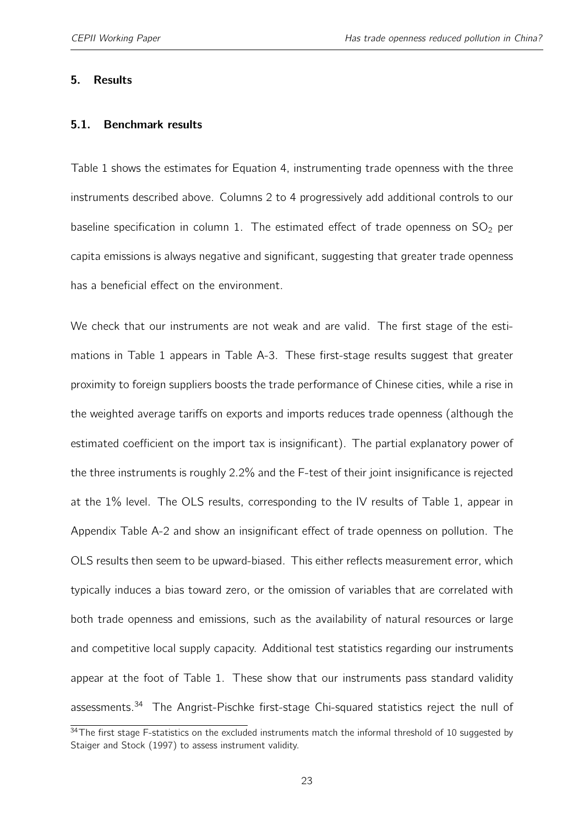#### <span id="page-22-0"></span>5. Results

#### 5.1. Benchmark results

Table [1](#page-24-0) shows the estimates for Equation [4,](#page-13-0) instrumenting trade openness with the three instruments described above. Columns 2 to 4 progressively add additional controls to our baseline specification in column 1. The estimated effect of trade openness on  $SO_2$  per capita emissions is always negative and significant, suggesting that greater trade openness has a beneficial effect on the environment.

We check that our instruments are not weak and are valid. The first stage of the estimations in Table [1](#page-24-0) appears in Table [A-3.](#page-49-0) These first-stage results suggest that greater proximity to foreign suppliers boosts the trade performance of Chinese cities, while a rise in the weighted average tariffs on exports and imports reduces trade openness (although the estimated coefficient on the import tax is insignificant). The partial explanatory power of the three instruments is roughly 2.2% and the F-test of their joint insignificance is rejected at the 1% level. The OLS results, corresponding to the IV results of Table [1,](#page-24-0) appear in Appendix Table [A-2](#page-48-0) and show an insignificant effect of trade openness on pollution. The OLS results then seem to be upward-biased. This either reflects measurement error, which typically induces a bias toward zero, or the omission of variables that are correlated with both trade openness and emissions, such as the availability of natural resources or large and competitive local supply capacity. Additional test statistics regarding our instruments appear at the foot of Table [1.](#page-24-0) These show that our instruments pass standard validity assessments.<sup>[34](#page-2-0)</sup> The Angrist-Pischke first-stage Chi-squared statistics reject the null of

<sup>&</sup>lt;sup>34</sup>The first stage F-statistics on the excluded instruments match the informal threshold of 10 suggested by [Staiger and Stock](#page-44-9) [\(1997\)](#page-44-9) to assess instrument validity.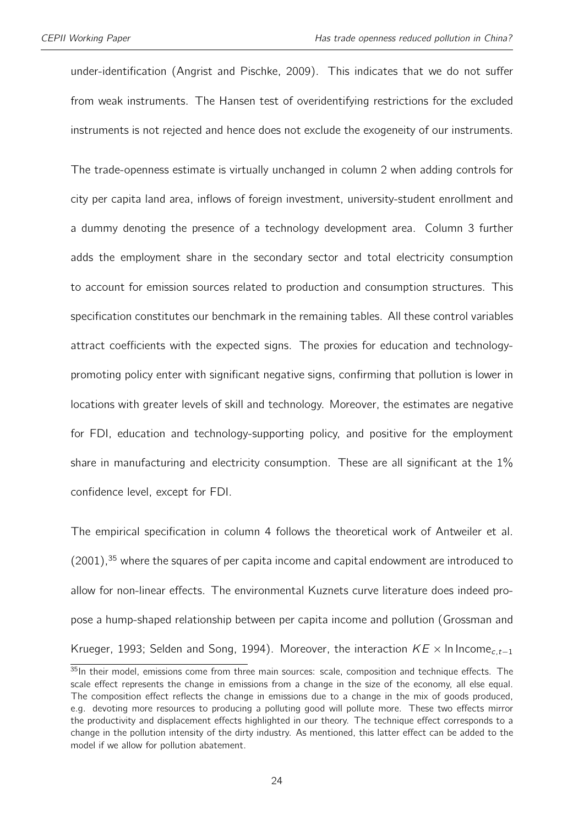under-identification [\(Angrist and Pischke,](#page-40-7) [2009\)](#page-40-7). This indicates that we do not suffer from weak instruments. The Hansen test of overidentifying restrictions for the excluded instruments is not rejected and hence does not exclude the exogeneity of our instruments.

The trade-openness estimate is virtually unchanged in column 2 when adding controls for city per capita land area, inflows of foreign investment, university-student enrollment and a dummy denoting the presence of a technology development area. Column 3 further adds the employment share in the secondary sector and total electricity consumption to account for emission sources related to production and consumption structures. This specification constitutes our benchmark in the remaining tables. All these control variables attract coefficients with the expected signs. The proxies for education and technologypromoting policy enter with significant negative signs, confirming that pollution is lower in locations with greater levels of skill and technology. Moreover, the estimates are negative for FDI, education and technology-supporting policy, and positive for the employment share in manufacturing and electricity consumption. These are all significant at the 1% confidence level, except for FDI.

The empirical specification in column 4 follows the theoretical work of [Antweiler et al.](#page-40-0)  $(2001)$ ,<sup>[35](#page-2-0)</sup> where the squares of per capita income and capital endowment are introduced to allow for non-linear effects. The environmental Kuznets curve literature does indeed propose a hump-shaped relationship between per capita income and pollution [\(Grossman and](#page-42-1) [Krueger,](#page-42-1) [1993;](#page-42-1) [Selden and Song,](#page-44-7) [1994\)](#page-44-7). Moreover, the interaction  $KE \times \ln \ln \text{comp}_{c, t-1}$ 

<sup>35</sup>In their model, emissions come from three main sources: scale, composition and technique effects. The scale effect represents the change in emissions from a change in the size of the economy, all else equal. The composition effect reflects the change in emissions due to a change in the mix of goods produced, e.g. devoting more resources to producing a polluting good will pollute more. These two effects mirror the productivity and displacement effects highlighted in our theory. The technique effect corresponds to a change in the pollution intensity of the dirty industry. As mentioned, this latter effect can be added to the model if we allow for pollution abatement.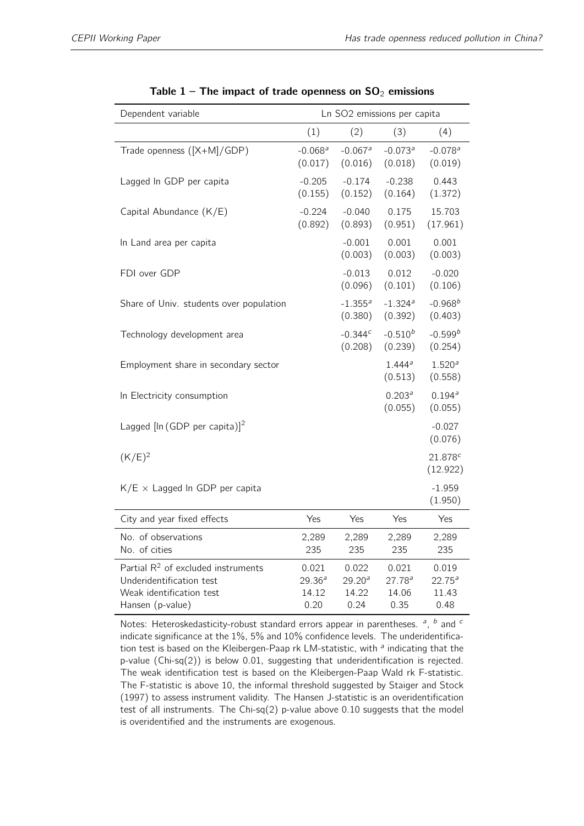<span id="page-24-0"></span>

| Dependent variable                                                                                                |                                  |                                              | Ln SO2 emissions per capita           |                                              |
|-------------------------------------------------------------------------------------------------------------------|----------------------------------|----------------------------------------------|---------------------------------------|----------------------------------------------|
|                                                                                                                   | (1)                              | (2)                                          | (3)                                   | (4)                                          |
| Trade openness ([X+M]/GDP)                                                                                        | $-0.068$ <sup>a</sup><br>(0.017) | $-0.067$ <sup>a</sup><br>(0.016)             | $-0.073$ <sup>a</sup><br>(0.018)      | $-0.078$ <sup>a</sup><br>(0.019)             |
| Lagged In GDP per capita                                                                                          | $-0.205$<br>(0.155)              | $-0.174$<br>(0.152)                          | $-0.238$<br>(0.164)                   | 0.443<br>(1.372)                             |
| Capital Abundance (K/E)                                                                                           | $-0.224$<br>(0.892)              | $-0.040$<br>(0.893)                          | 0.175<br>(0.951)                      | 15.703<br>(17.961)                           |
| In Land area per capita                                                                                           |                                  | $-0.001$<br>(0.003)                          | 0.001<br>(0.003)                      | 0.001<br>(0.003)                             |
| FDI over GDP                                                                                                      |                                  | $-0.013$<br>(0.096)                          | 0.012<br>(0.101)                      | $-0.020$<br>(0.106)                          |
| Share of Univ. students over population                                                                           |                                  | $-1.355$ <sup>a</sup><br>(0.380)             | $-1.324$ <sup>a</sup><br>(0.392)      | $-0.968^{b}$<br>(0.403)                      |
| Technology development area                                                                                       |                                  | $-0.344c$<br>(0.208)                         | $-0.510^{b}$<br>(0.239)               | $-0.599^{b}$<br>(0.254)                      |
| Employment share in secondary sector                                                                              |                                  |                                              | 1.444a<br>(0.513)                     | 1.520 <sup>a</sup><br>(0.558)                |
| In Electricity consumption                                                                                        |                                  |                                              | 0.203 <sup>a</sup><br>(0.055)         | $0.194^{a}$<br>(0.055)                       |
| Lagged $[\ln (GDP \text{ per capita})]^2$                                                                         |                                  |                                              |                                       | $-0.027$<br>(0.076)                          |
| $(K/E)^2$                                                                                                         |                                  |                                              |                                       | 21.878c<br>(12.922)                          |
| $K/E \times Lagged$ In GDP per capita                                                                             |                                  |                                              |                                       | $-1.959$<br>(1.950)                          |
| City and year fixed effects                                                                                       | Yes                              | Yes                                          | Yes                                   | Yes                                          |
| No. of observations<br>No. of cities                                                                              | 2,289<br>235                     | 2,289<br>235                                 | 2,289<br>235                          | 2,289<br>235                                 |
| Partial $R^2$ of excluded instruments<br>Underidentification test<br>Weak identification test<br>Hansen (p-value) | 0.021<br>29.36a<br>14.12<br>0.20 | 0.022<br>29.20 <sup>a</sup><br>14.22<br>0.24 | 0.021<br>$27.78^{a}$<br>14.06<br>0.35 | 0.019<br>22.75 <sup>a</sup><br>11.43<br>0.48 |

|  |  | Table 1 – The impact of trade openness on $SO_2$ emissions |  |  |
|--|--|------------------------------------------------------------|--|--|
|--|--|------------------------------------------------------------|--|--|

Notes: Heteroskedasticity-robust standard errors appear in parentheses.  $a$ ,  $b$  and  $c$ indicate significance at the 1%, 5% and 10% confidence levels. The underidentification test is based on the Kleibergen-Paap rk LM-statistic, with <sup>a</sup> indicating that the p-value (Chi-sq(2)) is below 0.01, suggesting that underidentification is rejected. The weak identification test is based on the Kleibergen-Paap Wald rk F-statistic. The F-statistic is above 10, the informal threshold suggested by Staiger and Stock (1997) to assess instrument validity. The Hansen J-statistic is an overidentification test of all instruments. The Chi-sq(2) p-value above 0.10 suggests that the model is overidentified and the instruments are exogenous.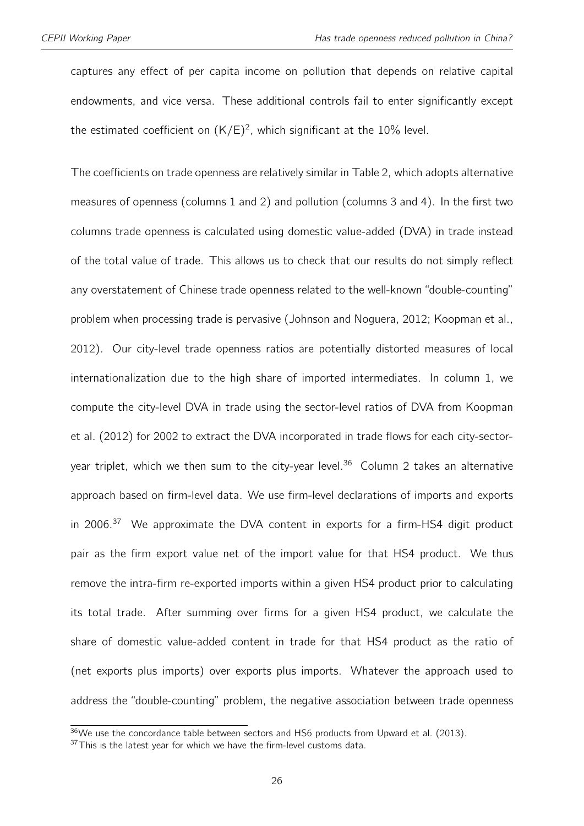captures any effect of per capita income on pollution that depends on relative capital endowments, and vice versa. These additional controls fail to enter significantly except the estimated coefficient on  $(K/E)^2$ , which significant at the 10% level.

The coefficients on trade openness are relatively similar in Table [2,](#page-26-0) which adopts alternative measures of openness (columns 1 and 2) and pollution (columns 3 and 4). In the first two columns trade openness is calculated using domestic value-added (DVA) in trade instead of the total value of trade. This allows us to check that our results do not simply reflect any overstatement of Chinese trade openness related to the well-known "double-counting" problem when processing trade is pervasive [\(Johnson and Noguera,](#page-42-9) [2012;](#page-42-9) [Koopman et al.,](#page-43-4) [2012\)](#page-43-4). Our city-level trade openness ratios are potentially distorted measures of local internationalization due to the high share of imported intermediates. In column 1, we compute the city-level DVA in trade using the sector-level ratios of DVA from [Koopman](#page-43-4) [et al.](#page-43-4) [\(2012\)](#page-43-4) for 2002 to extract the DVA incorporated in trade flows for each city-sector-year triplet, which we then sum to the city-year level.<sup>[36](#page-2-0)</sup> Column 2 takes an alternative approach based on firm-level data. We use firm-level declarations of imports and exports in 2006. $37$  We approximate the DVA content in exports for a firm-HS4 digit product pair as the firm export value net of the import value for that HS4 product. We thus remove the intra-firm re-exported imports within a given HS4 product prior to calculating its total trade. After summing over firms for a given HS4 product, we calculate the share of domestic value-added content in trade for that HS4 product as the ratio of (net exports plus imports) over exports plus imports. Whatever the approach used to address the "double-counting" problem, the negative association between trade openness

 $36$ We use the concordance table between sectors and HS6 products from [Upward et al.](#page-44-10) [\(2013\)](#page-44-10).

 $37$ This is the latest year for which we have the firm-level customs data.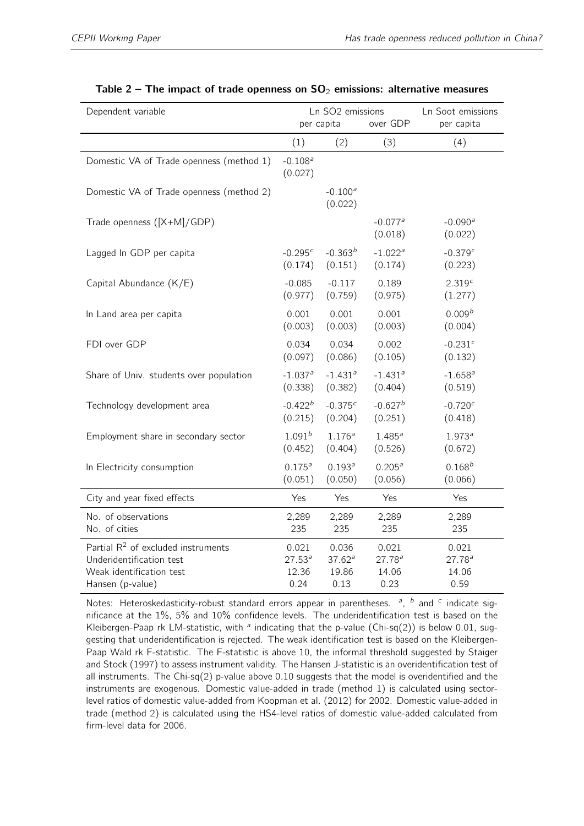<span id="page-26-0"></span>

| Dependent variable                       |                                  | Ln SO <sub>2</sub> emissions |                                  | Ln Soot emissions     |
|------------------------------------------|----------------------------------|------------------------------|----------------------------------|-----------------------|
|                                          |                                  | per capita                   | over GDP                         | per capita            |
|                                          | (1)                              | (2)                          | (3)                              | (4)                   |
| Domestic VA of Trade openness (method 1) | $-0.108$ <sup>a</sup><br>(0.027) |                              |                                  |                       |
| Domestic VA of Trade openness (method 2) |                                  | $-0.100a$<br>(0.022)         |                                  |                       |
| Trade openness ([X+M]/GDP)               |                                  |                              | $-0.077$ <sup>a</sup><br>(0.018) | $-0.090a$<br>(0.022)  |
| Lagged In GDP per capita                 | $-0.295c$                        | $-0.363^{b}$                 | $-1.022$ <sup>a</sup>            | $-0.379c$             |
|                                          | (0.174)                          | (0.151)                      | (0.174)                          | (0.223)               |
| Capital Abundance (K/E)                  | $-0.085$                         | $-0.117$                     | 0.189                            | 2.319 <sup>c</sup>    |
|                                          | (0.977)                          | (0.759)                      | (0.975)                          | (1.277)               |
| In Land area per capita                  | 0.001                            | 0.001                        | 0.001                            | 0.009 <sup>b</sup>    |
|                                          | (0.003)                          | (0.003)                      | (0.003)                          | (0.004)               |
| FDI over GDP                             | 0.034                            | 0.034                        | 0.002                            | $-0.231$ <sup>c</sup> |
|                                          | (0.097)                          | (0.086)                      | (0.105)                          | (0.132)               |
| Share of Univ. students over population  | $-1.037$ <sup>a</sup>            | $-1.431$ <sup>a</sup>        | $-1.431$ <sup>a</sup>            | $-1.658$ <sup>a</sup> |
|                                          | (0.338)                          | (0.382)                      | (0.404)                          | (0.519)               |
| Technology development area              | $-0.422^{b}$                     | $-0.375c$                    | $-0.627^b$                       | $-0.720c$             |
|                                          | (0.215)                          | (0.204)                      | (0.251)                          | (0.418)               |
| Employment share in secondary sector     | $1.091^{b}$                      | 1.176 <sup>a</sup>           | $1.485^{a}$                      | $1.973^{a}$           |
|                                          | (0.452)                          | (0.404)                      | (0.526)                          | (0.672)               |
| In Electricity consumption               | $0.175^{a}$                      | $0.193^{a}$                  | 0.205 <sup>a</sup>               | $0.168^{b}$           |
|                                          | (0.051)                          | (0.050)                      | (0.056)                          | (0.066)               |
| City and year fixed effects              | Yes                              | Yes                          | Yes                              | Yes                   |
| No. of observations                      | 2,289                            | 2,289                        | 2,289                            | 2,289                 |
| No. of cities                            | 235                              | 235                          | 235                              | 235                   |
| Partial $R^2$ of excluded instruments    | 0.021                            | 0.036                        | 0.021                            | 0.021                 |
| Underidentification test                 | $27.53^{a}$                      | $37.62^a$                    | 27.78 <sup>a</sup>               | $27.78^{a}$           |
| Weak identification test                 | 12.36                            | 19.86                        | 14.06                            | 14.06                 |
| Hansen (p-value)                         | 0.24                             | 0.13                         | 0.23                             | 0.59                  |

| Table 2 – The impact of trade openness on $SO_2$ emissions: alternative measures |  |  |
|----------------------------------------------------------------------------------|--|--|
|----------------------------------------------------------------------------------|--|--|

Notes: Heteroskedasticity-robust standard errors appear in parentheses.  $a$ ,  $b$  and  $c$  indicate significance at the 1%, 5% and 10% confidence levels. The underidentification test is based on the Kleibergen-Paap rk LM-statistic, with  $^a$  indicating that the p-value (Chi-sq(2)) is below 0.01, suggesting that underidentification is rejected. The weak identification test is based on the Kleibergen-Paap Wald rk F-statistic. The F-statistic is above 10, the informal threshold suggested by Staiger and Stock (1997) to assess instrument validity. The Hansen J-statistic is an overidentification test of all instruments. The Chi-sq(2) p-value above 0.10 suggests that the model is overidentified and the instruments are exogenous. Domestic value-added in trade (method 1) is calculated using sectorlevel ratios of domestic value-added from [Koopman et al.](#page-43-4) [\(2012\)](#page-43-4) for 2002. Domestic value-added in trade (method 2) is calculated using the HS4-level ratios of domestic value-added calculated from firm-level data for 2006.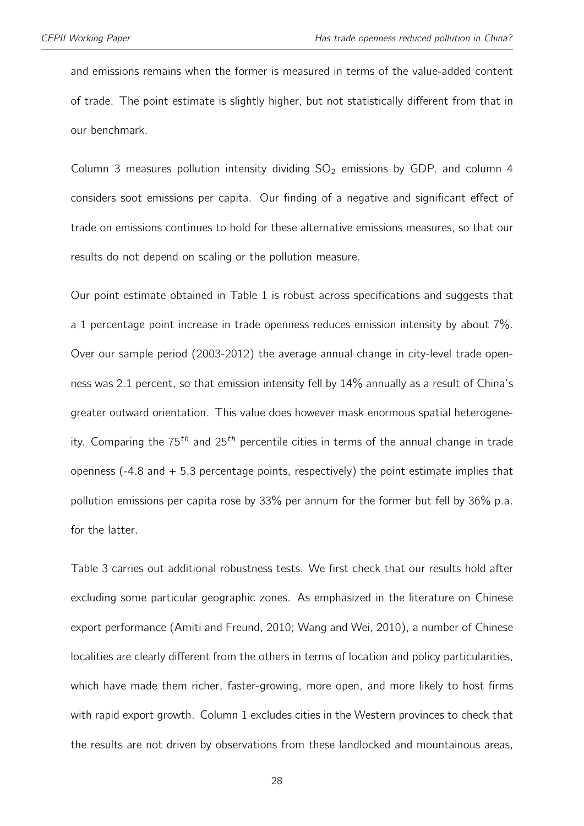and emissions remains when the former is measured in terms of the value-added content of trade. The point estimate is slightly higher, but not statistically different from that in our benchmark.

Column 3 measures pollution intensity dividing  $SO<sub>2</sub>$  emissions by GDP, and column 4 considers soot emissions per capita. Our finding of a negative and significant effect of trade on emissions continues to hold for these alternative emissions measures, so that our results do not depend on scaling or the pollution measure.

Our point estimate obtained in Table [1](#page-24-0) is robust across specifications and suggests that a 1 percentage point increase in trade openness reduces emission intensity by about 7%. Over our sample period (2003-2012) the average annual change in city-level trade openness was 2.1 percent, so that emission intensity fell by 14% annually as a result of China's greater outward orientation. This value does however mask enormous spatial heterogeneity. Comparing the  $75<sup>th</sup>$  and  $25<sup>th</sup>$  percentile cities in terms of the annual change in trade openness (-4.8 and + 5.3 percentage points, respectively) the point estimate implies that pollution emissions per capita rose by 33% per annum for the former but fell by 36% p.a. for the latter.

Table [3](#page-29-0) carries out additional robustness tests. We first check that our results hold after excluding some particular geographic zones. As emphasized in the literature on Chinese export performance [\(Amiti and Freund,](#page-40-4) [2010;](#page-40-4) [Wang and Wei,](#page-44-4) [2010\)](#page-44-4), a number of Chinese localities are clearly different from the others in terms of location and policy particularities, which have made them richer, faster-growing, more open, and more likely to host firms with rapid export growth. Column 1 excludes cities in the Western provinces to check that the results are not driven by observations from these landlocked and mountainous areas,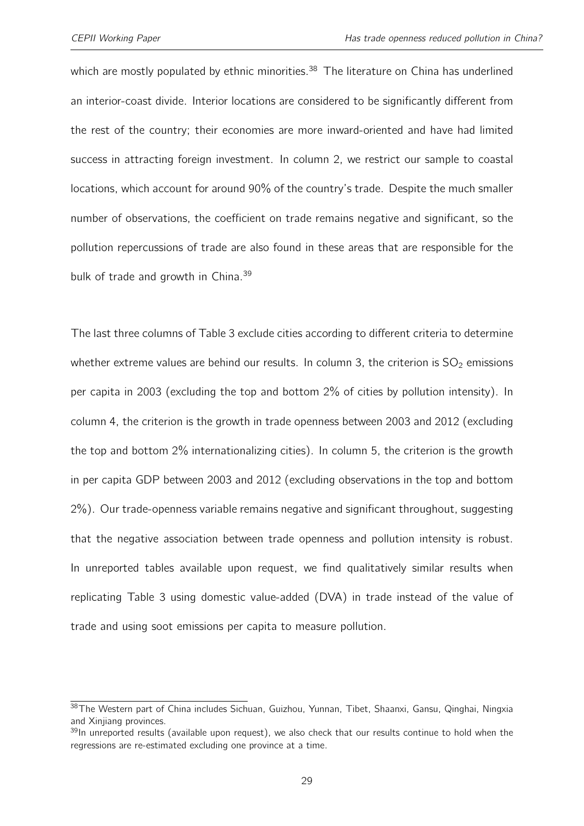which are mostly populated by ethnic minorities.<sup>[38](#page-2-0)</sup> The literature on China has underlined an interior-coast divide. Interior locations are considered to be significantly different from the rest of the country; their economies are more inward-oriented and have had limited success in attracting foreign investment. In column 2, we restrict our sample to coastal locations, which account for around 90% of the country's trade. Despite the much smaller number of observations, the coefficient on trade remains negative and significant, so the pollution repercussions of trade are also found in these areas that are responsible for the bulk of trade and growth in China.<sup>[39](#page-2-0)</sup>

The last three columns of Table [3](#page-29-0) exclude cities according to different criteria to determine whether extreme values are behind our results. In column 3, the criterion is  $SO<sub>2</sub>$  emissions per capita in 2003 (excluding the top and bottom 2% of cities by pollution intensity). In column 4, the criterion is the growth in trade openness between 2003 and 2012 (excluding the top and bottom 2% internationalizing cities). In column 5, the criterion is the growth in per capita GDP between 2003 and 2012 (excluding observations in the top and bottom 2%). Our trade-openness variable remains negative and significant throughout, suggesting that the negative association between trade openness and pollution intensity is robust. In unreported tables available upon request, we find qualitatively similar results when replicating Table [3](#page-29-0) using domestic value-added (DVA) in trade instead of the value of trade and using soot emissions per capita to measure pollution.

<sup>38</sup> The Western part of China includes Sichuan, Guizhou, Yunnan, Tibet, Shaanxi, Gansu, Qinghai, Ningxia and Xinjiang provinces.

 $39$ In unreported results (available upon request), we also check that our results continue to hold when the regressions are re-estimated excluding one province at a time.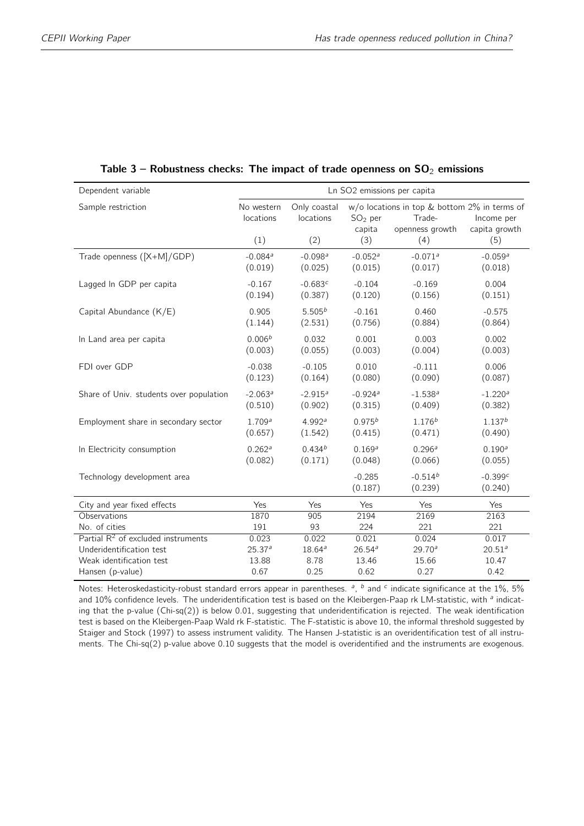<span id="page-29-0"></span>

| Dependent variable                      | Ln SO2 emissions per capita      |                                  |                                  |                                                                           |                                  |  |  |
|-----------------------------------------|----------------------------------|----------------------------------|----------------------------------|---------------------------------------------------------------------------|----------------------------------|--|--|
| Sample restriction                      | No western<br>locations          | Only coastal<br>locations        | $SO2$ per<br>capita              | w/o locations in top & bottom 2% in terms of<br>Trade-<br>openness growth | Income per<br>capita growth      |  |  |
|                                         | (1)                              | (2)                              | (3)                              | (4)                                                                       | (5)                              |  |  |
| Trade openness ([X+M]/GDP)              | $-0.084$ <sup>a</sup><br>(0.019) | $-0.098$ <sup>a</sup><br>(0.025) | $-0.052$ <sup>a</sup><br>(0.015) | $-0.071$ <sup>a</sup><br>(0.017)                                          | $-0.059$ <sup>a</sup><br>(0.018) |  |  |
| Lagged In GDP per capita                | $-0.167$<br>(0.194)              | $-0.683c$<br>(0.387)             | $-0.104$<br>(0.120)              | $-0.169$<br>(0.156)                                                       | 0.004<br>(0.151)                 |  |  |
| Capital Abundance (K/E)                 | 0.905<br>(1.144)                 | $5.505^{b}$<br>(2.531)           | $-0.161$<br>(0.756)              | 0.460<br>(0.884)                                                          | $-0.575$<br>(0.864)              |  |  |
| In Land area per capita                 | 0.006 <sup>b</sup><br>(0.003)    | 0.032<br>(0.055)                 | 0.001<br>(0.003)                 | 0.003<br>(0.004)                                                          | 0.002<br>(0.003)                 |  |  |
| FDI over GDP                            | $-0.038$<br>(0.123)              | $-0.105$<br>(0.164)              | 0.010<br>(0.080)                 | $-0.111$<br>(0.090)                                                       | 0.006<br>(0.087)                 |  |  |
| Share of Univ. students over population | $-2.063^a$<br>(0.510)            | $-2.915^a$<br>(0.902)            | $-0.924$ <sup>a</sup><br>(0.315) | $-1.538^{a}$<br>(0.409)                                                   | $-1.220a$<br>(0.382)             |  |  |
| Employment share in secondary sector    | 1.709 <sup>a</sup><br>(0.657)    | 4.992 <sup>a</sup><br>(1.542)    | $0.975^{b}$<br>(0.415)           | $1.176^{b}$<br>(0.471)                                                    | $1.137^{b}$<br>(0.490)           |  |  |
| In Electricity consumption              | 0.262 <sup>a</sup><br>(0.082)    | $0.434^{b}$<br>(0.171)           | 0.169 <sup>a</sup><br>(0.048)    | 0.296 <sup>a</sup><br>(0.066)                                             | $0.190^{a}$<br>(0.055)           |  |  |
| Technology development area             |                                  |                                  | $-0.285$<br>(0.187)              | $-0.514^{b}$<br>(0.239)                                                   | $-0.399c$<br>(0.240)             |  |  |
| City and year fixed effects             | Yes                              | Yes                              | Yes                              | Yes                                                                       | Yes                              |  |  |
| Observations                            | 1870                             | 905                              | 2194                             | 2169                                                                      | 2163                             |  |  |
| No. of cities                           | 191                              | 93                               | 224                              | 221                                                                       | 221                              |  |  |
| Partial $R^2$ of excluded instruments   | 0.023                            | 0.022                            | 0.021                            | 0.024                                                                     | 0.017                            |  |  |
| Underidentification test                | 25.37 <sup>a</sup>               | $18.64^{a}$                      | $26.54^{a}$                      | $29.70^{a}$                                                               | $20.51^{a}$                      |  |  |
| Weak identification test                | 13.88                            | 8.78                             | 13.46                            | 15.66                                                                     | 10.47                            |  |  |
| Hansen (p-value)                        | 0.67                             | 0.25                             | 0.62                             | 0.27                                                                      | 0.42                             |  |  |

#### Table 3 – Robustness checks: The impact of trade openness on  $SO_2$  emissions

Notes: Heteroskedasticity-robust standard errors appear in parentheses.  $a$ ,  $b$  and  $c$  indicate significance at the 1%, 5% and 10% confidence levels. The underidentification test is based on the Kleibergen-Paap rk LM-statistic, with <sup>a</sup> indicating that the p-value (Chi-sq(2)) is below 0.01, suggesting that underidentification is rejected. The weak identification test is based on the Kleibergen-Paap Wald rk F-statistic. The F-statistic is above 10, the informal threshold suggested by Staiger and Stock (1997) to assess instrument validity. The Hansen J-statistic is an overidentification test of all instruments. The Chi-sq(2) p-value above 0.10 suggests that the model is overidentified and the instruments are exogenous.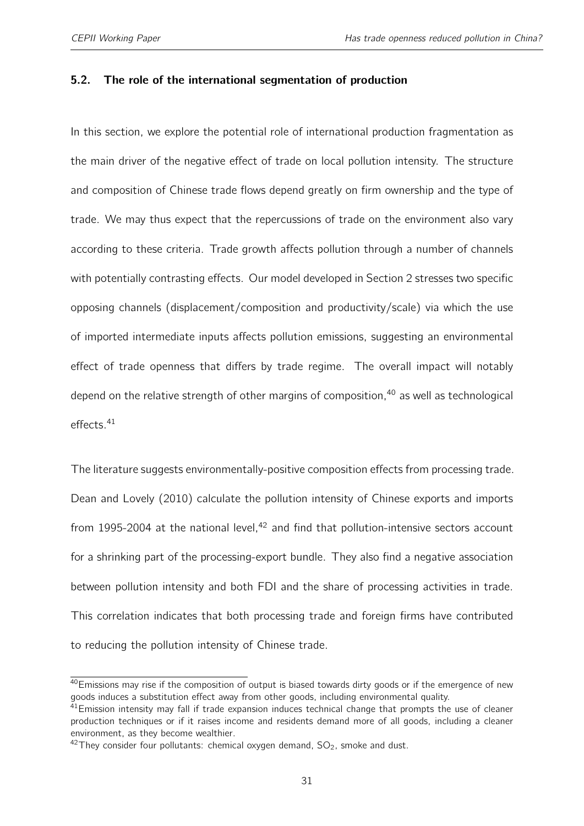#### 5.2. The role of the international segmentation of production

In this section, we explore the potential role of international production fragmentation as the main driver of the negative effect of trade on local pollution intensity. The structure and composition of Chinese trade flows depend greatly on firm ownership and the type of trade. We may thus expect that the repercussions of trade on the environment also vary according to these criteria. Trade growth affects pollution through a number of channels with potentially contrasting effects. Our model developed in Section [2](#page-8-0) stresses two specific opposing channels (displacement/composition and productivity/scale) via which the use of imported intermediate inputs affects pollution emissions, suggesting an environmental effect of trade openness that differs by trade regime. The overall impact will notably depend on the relative strength of other margins of composition,  $40$  as well as technological effects.[41](#page-2-0)

The literature suggests environmentally-positive composition effects from processing trade. [Dean and Lovely](#page-41-0) [\(2010\)](#page-41-0) calculate the pollution intensity of Chinese exports and imports from 1995-2004 at the national level, $42$  and find that pollution-intensive sectors account for a shrinking part of the processing-export bundle. They also find a negative association between pollution intensity and both FDI and the share of processing activities in trade. This correlation indicates that both processing trade and foreign firms have contributed to reducing the pollution intensity of Chinese trade.

<sup>&</sup>lt;sup>40</sup>Emissions may rise if the composition of output is biased towards dirty goods or if the emergence of new goods induces a substitution effect away from other goods, including environmental quality.

 $41$ Emission intensity may fall if trade expansion induces technical change that prompts the use of cleaner production techniques or if it raises income and residents demand more of all goods, including a cleaner environment, as they become wealthier.

 $42$ They consider four pollutants: chemical oxygen demand,  $SO_2$ , smoke and dust.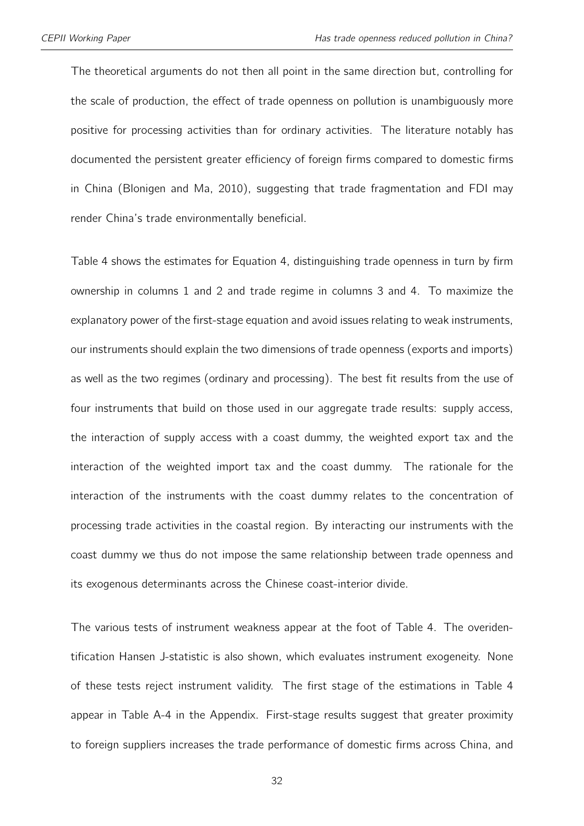The theoretical arguments do not then all point in the same direction but, controlling for the scale of production, the effect of trade openness on pollution is unambiguously more positive for processing activities than for ordinary activities. The literature notably has documented the persistent greater efficiency of foreign firms compared to domestic firms in China [\(Blonigen and Ma,](#page-40-8) [2010\)](#page-40-8), suggesting that trade fragmentation and FDI may render China's trade environmentally beneficial.

Table [4](#page-33-0) shows the estimates for Equation [4,](#page-13-0) distinguishing trade openness in turn by firm ownership in columns 1 and 2 and trade regime in columns 3 and 4. To maximize the explanatory power of the first-stage equation and avoid issues relating to weak instruments, our instruments should explain the two dimensions of trade openness (exports and imports) as well as the two regimes (ordinary and processing). The best fit results from the use of four instruments that build on those used in our aggregate trade results: supply access, the interaction of supply access with a coast dummy, the weighted export tax and the interaction of the weighted import tax and the coast dummy. The rationale for the interaction of the instruments with the coast dummy relates to the concentration of processing trade activities in the coastal region. By interacting our instruments with the coast dummy we thus do not impose the same relationship between trade openness and its exogenous determinants across the Chinese coast-interior divide.

The various tests of instrument weakness appear at the foot of Table [4.](#page-33-0) The overidentification Hansen J-statistic is also shown, which evaluates instrument exogeneity. None of these tests reject instrument validity. The first stage of the estimations in Table [4](#page-33-0) appear in Table [A-4](#page-50-0) in the Appendix. First-stage results suggest that greater proximity to foreign suppliers increases the trade performance of domestic firms across China, and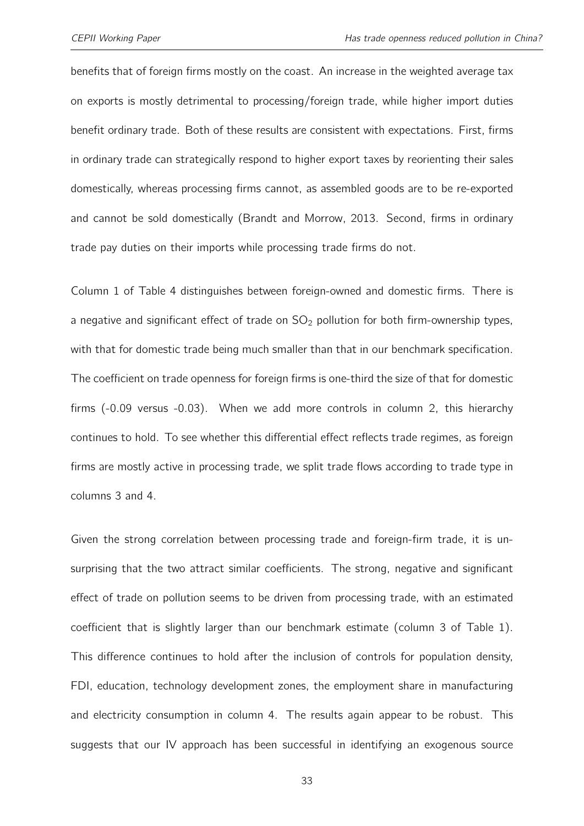benefits that of foreign firms mostly on the coast. An increase in the weighted average tax on exports is mostly detrimental to processing/foreign trade, while higher import duties benefit ordinary trade. Both of these results are consistent with expectations. First, firms in ordinary trade can strategically respond to higher export taxes by reorienting their sales domestically, whereas processing firms cannot, as assembled goods are to be re-exported and cannot be sold domestically [\(Brandt and Morrow,](#page-40-3) [2013.](#page-40-3) Second, firms in ordinary trade pay duties on their imports while processing trade firms do not.

Column 1 of Table [4](#page-33-0) distinguishes between foreign-owned and domestic firms. There is a negative and significant effect of trade on  $SO_2$  pollution for both firm-ownership types, with that for domestic trade being much smaller than that in our benchmark specification. The coefficient on trade openness for foreign firms is one-third the size of that for domestic firms (-0.09 versus -0.03). When we add more controls in column 2, this hierarchy continues to hold. To see whether this differential effect reflects trade regimes, as foreign firms are mostly active in processing trade, we split trade flows according to trade type in columns 3 and 4.

Given the strong correlation between processing trade and foreign-firm trade, it is unsurprising that the two attract similar coefficients. The strong, negative and significant effect of trade on pollution seems to be driven from processing trade, with an estimated coefficient that is slightly larger than our benchmark estimate (column 3 of Table [1\)](#page-24-0). This difference continues to hold after the inclusion of controls for population density, FDI, education, technology development zones, the employment share in manufacturing and electricity consumption in column 4. The results again appear to be robust. This suggests that our IV approach has been successful in identifying an exogenous source

33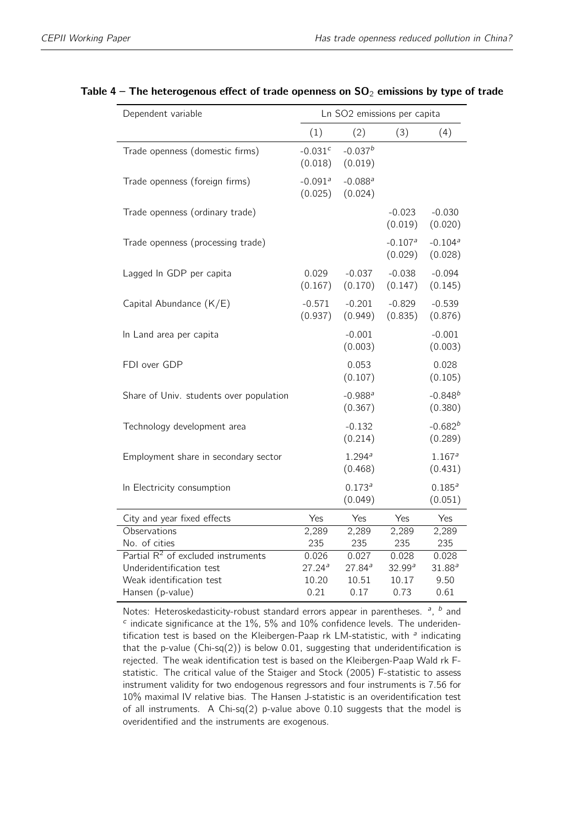| Dependent variable                           |                      | Ln SO2 emissions per capita      |                      |                                  |  |  |
|----------------------------------------------|----------------------|----------------------------------|----------------------|----------------------------------|--|--|
|                                              | (1)                  | (2)                              | (3)                  | (4)                              |  |  |
| Trade openness (domestic firms)              | $-0.031c$<br>(0.018) | $-0.037b$<br>(0.019)             |                      |                                  |  |  |
| Trade openness (foreign firms)               | $-0.091a$<br>(0.025) | $-0.088$ <sup>a</sup><br>(0.024) |                      |                                  |  |  |
| Trade openness (ordinary trade)              |                      |                                  | $-0.023$<br>(0.019)  | $-0.030$<br>(0.020)              |  |  |
| Trade openness (processing trade)            |                      |                                  | $-0.107a$<br>(0.029) | $-0.104$ <sup>a</sup><br>(0.028) |  |  |
| Lagged In GDP per capita                     | 0.029<br>(0.167)     | $-0.037$<br>(0.170)              | $-0.038$<br>(0.147)  | $-0.094$<br>(0.145)              |  |  |
| Capital Abundance (K/E)                      | $-0.571$<br>(0.937)  | $-0.201$<br>(0.949)              | $-0.829$<br>(0.835)  | $-0.539$<br>(0.876)              |  |  |
| In Land area per capita                      |                      | $-0.001$<br>(0.003)              |                      | $-0.001$<br>(0.003)              |  |  |
| FDI over GDP                                 |                      | 0.053<br>(0.107)                 |                      | 0.028<br>(0.105)                 |  |  |
| Share of Univ. students over population      |                      | $-0.988$ <sup>a</sup><br>(0.367) |                      | $-0.848^{b}$<br>(0.380)          |  |  |
| Technology development area                  |                      | $-0.132$<br>(0.214)              |                      | $-0.682^{b}$<br>(0.289)          |  |  |
| Employment share in secondary sector         |                      | 1.294a<br>(0.468)                |                      | 1.167 <sup>a</sup><br>(0.431)    |  |  |
| In Electricity consumption                   |                      | $0.173^{a}$<br>(0.049)           |                      | $0.185^{a}$<br>(0.051)           |  |  |
| City and year fixed effects                  | Yes                  | Yes                              | Yes                  | Yes                              |  |  |
| Observations                                 | 2,289                | 2,289                            | 2,289                | 2,289                            |  |  |
| No. of cities                                | 235                  | 235                              | 235                  | 235                              |  |  |
| Partial $R^2$ of excluded instruments        | 0.026                | 0.027                            | 0.028                | 0.028                            |  |  |
| Underidentification test                     | 27.24a               | 27.84a                           | 32.99a               | $31.88^a$                        |  |  |
| Weak identification test<br>Hansen (p-value) | 10.20<br>0.21        | 10.51<br>0.17                    | 10.17<br>0.73        | 9.50<br>0.61                     |  |  |
|                                              |                      |                                  |                      |                                  |  |  |

#### <span id="page-33-0"></span>Table  $4$  – The heterogenous effect of trade openness on  $SO_2$  emissions by type of trade

Notes: Heteroskedasticity-robust standard errors appear in parentheses.  $a$ ,  $b$  and  $c$  indicate significance at the  $1\%$ , 5% and  $10\%$  confidence levels. The underidentification test is based on the Kleibergen-Paap rk LM-statistic, with <sup>a</sup> indicating that the p-value  $(Chi-sq(2))$  is below 0.01, suggesting that underidentification is rejected. The weak identification test is based on the Kleibergen-Paap Wald rk Fstatistic. The critical value of the Staiger and Stock (2005) F-statistic to assess instrument validity for two endogenous regressors and four instruments is 7.56 for 10% maximal IV relative bias. The Hansen J-statistic is an overidentification test of all instruments. A Chi-sq(2) p-value above 0.10 suggests that the model is overidentified and the instruments are exogenous.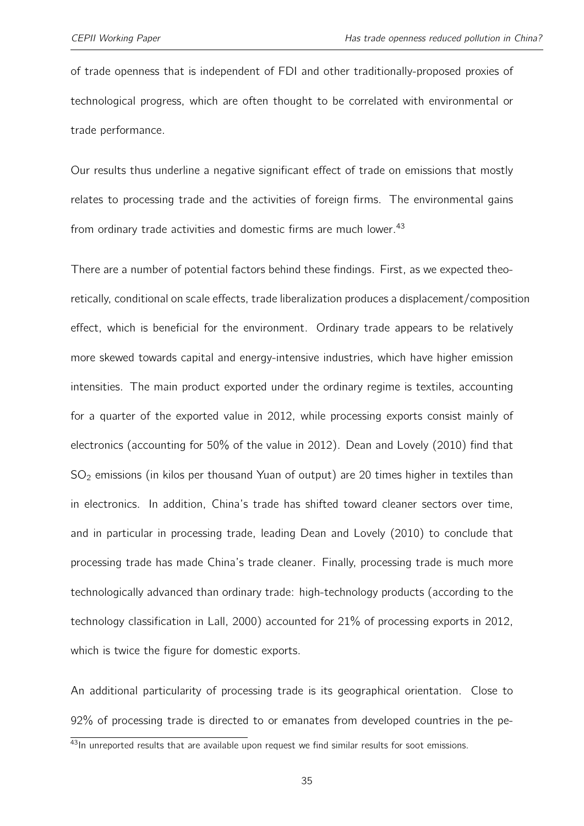of trade openness that is independent of FDI and other traditionally-proposed proxies of technological progress, which are often thought to be correlated with environmental or trade performance.

Our results thus underline a negative significant effect of trade on emissions that mostly relates to processing trade and the activities of foreign firms. The environmental gains from ordinary trade activities and domestic firms are much lower.<sup>[43](#page-2-0)</sup>

There are a number of potential factors behind these findings. First, as we expected theoretically, conditional on scale effects, trade liberalization produces a displacement/composition effect, which is beneficial for the environment. Ordinary trade appears to be relatively more skewed towards capital and energy-intensive industries, which have higher emission intensities. The main product exported under the ordinary regime is textiles, accounting for a quarter of the exported value in 2012, while processing exports consist mainly of electronics (accounting for 50% of the value in 2012). [Dean and Lovely](#page-41-0) [\(2010\)](#page-41-0) find that  $SO<sub>2</sub>$  emissions (in kilos per thousand Yuan of output) are 20 times higher in textiles than in electronics. In addition, China's trade has shifted toward cleaner sectors over time, and in particular in processing trade, leading [Dean and Lovely](#page-41-0) [\(2010\)](#page-41-0) to conclude that processing trade has made China's trade cleaner. Finally, processing trade is much more technologically advanced than ordinary trade: high-technology products (according to the technology classification in [Lall,](#page-43-9) [2000\)](#page-43-9) accounted for 21% of processing exports in 2012, which is twice the figure for domestic exports.

An additional particularity of processing trade is its geographical orientation. Close to 92% of processing trade is directed to or emanates from developed countries in the pe-

<sup>43</sup>In unreported results that are available upon request we find similar results for soot emissions.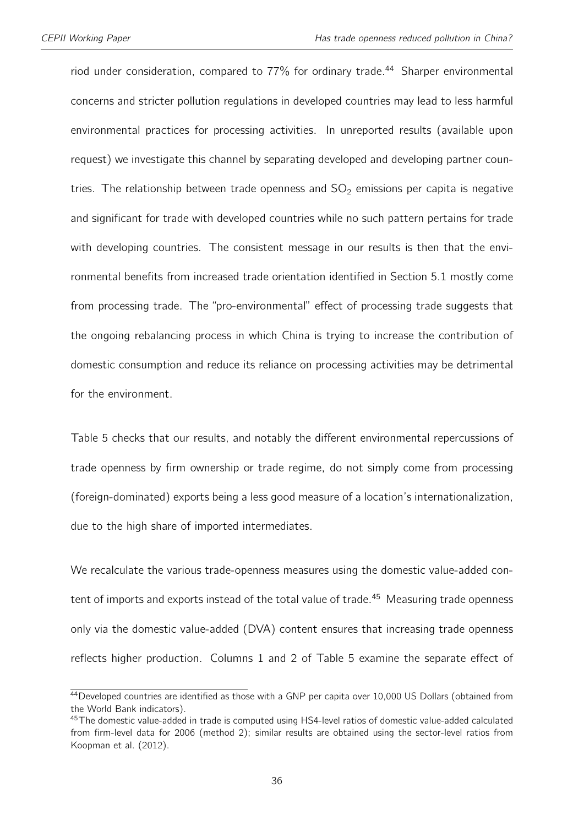riod under consideration, compared to  $77\%$  for ordinary trade.<sup>[44](#page-2-0)</sup> Sharper environmental concerns and stricter pollution regulations in developed countries may lead to less harmful environmental practices for processing activities. In unreported results (available upon request) we investigate this channel by separating developed and developing partner countries. The relationship between trade openness and  $SO<sub>2</sub>$  emissions per capita is negative and significant for trade with developed countries while no such pattern pertains for trade with developing countries. The consistent message in our results is then that the environmental benefits from increased trade orientation identified in Section [5.1](#page-22-0) mostly come from processing trade. The "pro-environmental" effect of processing trade suggests that the ongoing rebalancing process in which China is trying to increase the contribution of domestic consumption and reduce its reliance on processing activities may be detrimental for the environment.

Table [5](#page-36-0) checks that our results, and notably the different environmental repercussions of trade openness by firm ownership or trade regime, do not simply come from processing (foreign-dominated) exports being a less good measure of a location's internationalization, due to the high share of imported intermediates.

We recalculate the various trade-openness measures using the domestic value-added con-tent of imports and exports instead of the total value of trade.<sup>[45](#page-2-0)</sup> Measuring trade openness only via the domestic value-added (DVA) content ensures that increasing trade openness reflects higher production. Columns 1 and 2 of Table 5 examine the separate effect of

<sup>44</sup> Developed countries are identified as those with a GNP per capita over 10,000 US Dollars (obtained from the World Bank indicators).

<sup>45</sup> The domestic value-added in trade is computed using HS4-level ratios of domestic value-added calculated from firm-level data for 2006 (method 2); similar results are obtained using the sector-level ratios from [Koopman et al.](#page-43-4) [\(2012\)](#page-43-4).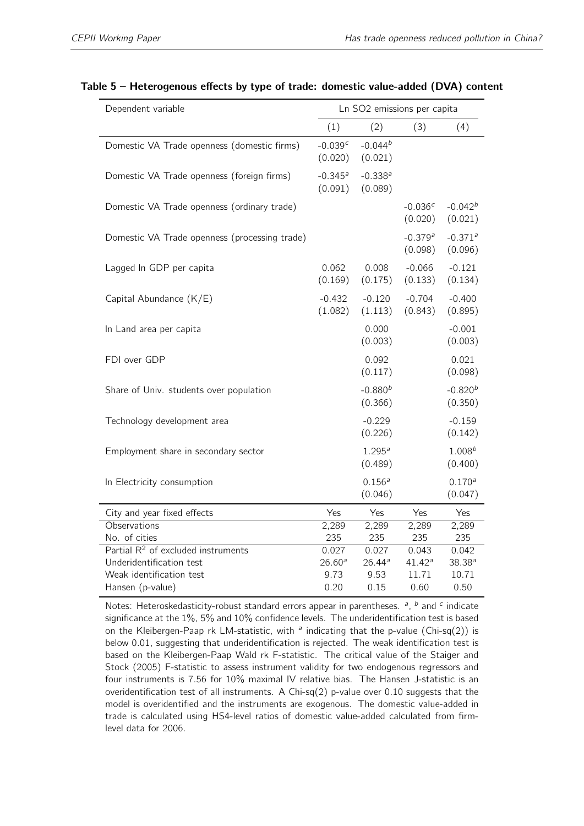| Dependent variable                            |                                  | Ln SO2 emissions per capita   |                      |                                  |  |
|-----------------------------------------------|----------------------------------|-------------------------------|----------------------|----------------------------------|--|
|                                               | (1)                              | (2)                           | (3)                  | (4)                              |  |
| Domestic VA Trade openness (domestic firms)   | $-0.039c$<br>(0.020)             | $-0.044^{b}$<br>(0.021)       |                      |                                  |  |
| Domestic VA Trade openness (foreign firms)    | $-0.345$ <sup>a</sup><br>(0.091) | $-0.338a$<br>(0.089)          |                      |                                  |  |
| Domestic VA Trade openness (ordinary trade)   |                                  |                               | $-0.036c$<br>(0.020) | $-0.042b$<br>(0.021)             |  |
| Domestic VA Trade openness (processing trade) |                                  |                               | $-0.379a$<br>(0.098) | $-0.371$ <sup>a</sup><br>(0.096) |  |
| Lagged In GDP per capita                      | 0.062<br>(0.169)                 | 0.008<br>(0.175)              | $-0.066$<br>(0.133)  | $-0.121$<br>(0.134)              |  |
| Capital Abundance (K/E)                       | $-0.432$<br>(1.082)              | $-0.120$<br>(1.113)           | $-0.704$<br>(0.843)  | $-0.400$<br>(0.895)              |  |
| In Land area per capita                       |                                  | 0.000<br>(0.003)              |                      | $-0.001$<br>(0.003)              |  |
| FDI over GDP                                  |                                  | 0.092<br>(0.117)              |                      | 0.021<br>(0.098)                 |  |
| Share of Univ. students over population       |                                  | $-0.880^{b}$<br>(0.366)       |                      | $-0.820b$<br>(0.350)             |  |
| Technology development area                   |                                  | $-0.229$<br>(0.226)           |                      | $-0.159$<br>(0.142)              |  |
| Employment share in secondary sector          |                                  | 1.295 <sup>a</sup><br>(0.489) |                      | $1.008^{b}$<br>(0.400)           |  |
| In Electricity consumption                    |                                  | $0.156^{a}$<br>(0.046)        |                      | $0.170^{a}$<br>(0.047)           |  |
| City and year fixed effects                   | Yes                              | Yes                           | Yes                  | Yes                              |  |
| Observations                                  | 2,289                            | 2,289                         | 2,289                | 2,289                            |  |
| No. of cities                                 | 235                              | 235                           | 235                  | 235                              |  |
| Partial $R^2$ of excluded instruments         | 0.027                            | 0.027                         | 0.043                | 0.042                            |  |
| Underidentification test                      | $26.60^{a}$                      | 26.44a                        | 41.42 <sup>a</sup>   | $38.38^{a}$                      |  |
| Weak identification test                      | 9.73<br>0.20                     | 9.53<br>0.15                  | 11.71<br>0.60        | 10.71<br>0.50                    |  |
| Hansen (p-value)                              |                                  |                               |                      |                                  |  |

#### <span id="page-36-0"></span>Table 5 – Heterogenous effects by type of trade: domestic value-added (DVA) content

Notes: Heteroskedasticity-robust standard errors appear in parentheses.  $a$ ,  $b$  and  $c$  indicate significance at the 1%, 5% and 10% confidence levels. The underidentification test is based on the Kleibergen-Paap rk LM-statistic, with  $\alpha$  indicating that the p-value (Chi-sq(2)) is below 0.01, suggesting that underidentification is rejected. The weak identification test is based on the Kleibergen-Paap Wald rk F-statistic. The critical value of the Staiger and Stock (2005) F-statistic to assess instrument validity for two endogenous regressors and four instruments is 7.56 for 10% maximal IV relative bias. The Hansen J-statistic is an overidentification test of all instruments. A Chi-sq(2) p-value over 0.10 suggests that the model is overidentified and the instruments are exogenous. The domestic value-added in trade is calculated using HS4-level ratios of domestic value-added calculated from firmlevel data for 2006.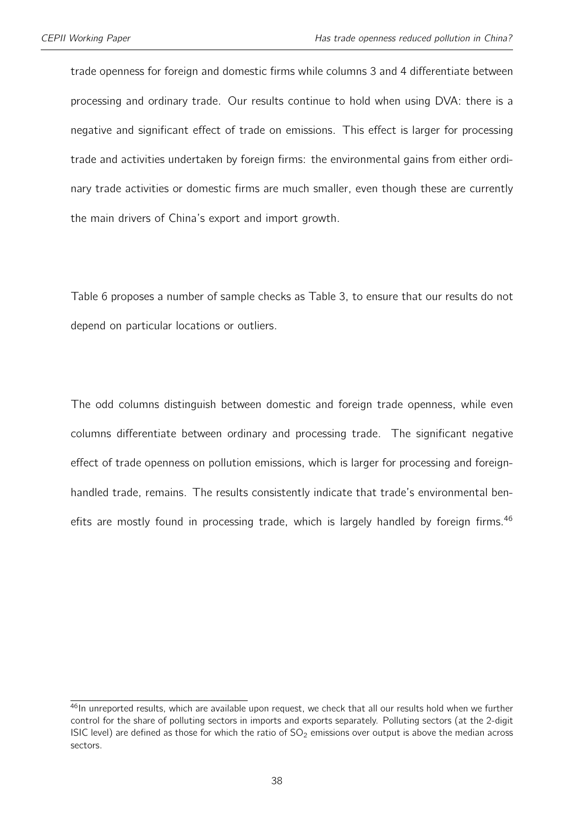trade openness for foreign and domestic firms while columns 3 and 4 differentiate between processing and ordinary trade. Our results continue to hold when using DVA: there is a negative and significant effect of trade on emissions. This effect is larger for processing trade and activities undertaken by foreign firms: the environmental gains from either ordinary trade activities or domestic firms are much smaller, even though these are currently the main drivers of China's export and import growth.

Table [6](#page-38-0) proposes a number of sample checks as Table [3,](#page-29-0) to ensure that our results do not depend on particular locations or outliers.

The odd columns distinguish between domestic and foreign trade openness, while even columns differentiate between ordinary and processing trade. The significant negative effect of trade openness on pollution emissions, which is larger for processing and foreignhandled trade, remains. The results consistently indicate that trade's environmental benefits are mostly found in processing trade, which is largely handled by foreign firms.  $46$ 

<sup>46</sup>In unreported results, which are available upon request, we check that all our results hold when we further control for the share of polluting sectors in imports and exports separately. Polluting sectors (at the 2-digit ISIC level) are defined as those for which the ratio of  $SO<sub>2</sub>$  emissions over output is above the median across sectors.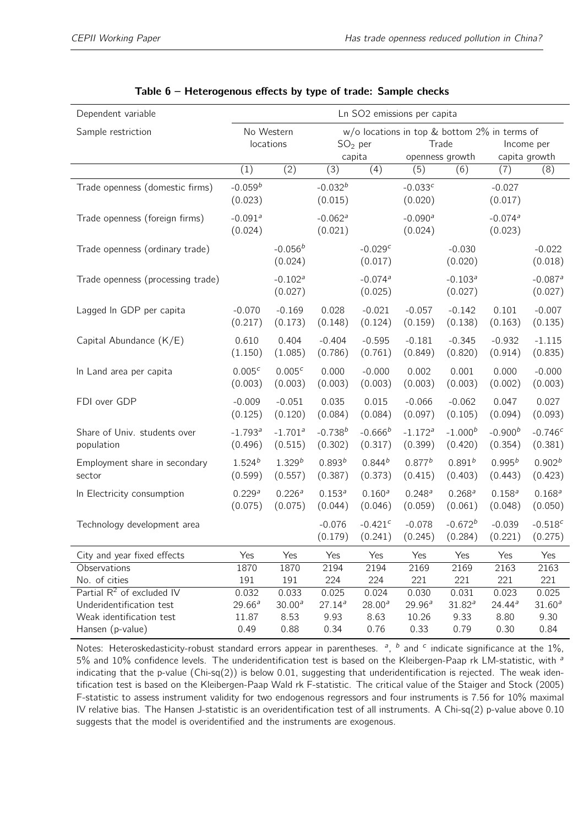<span id="page-38-0"></span>

| Dependent variable                                       | Ln SO2 emissions per capita      |                                  |                                  |                                  |                                                                             |                                 |                                  |                                  |
|----------------------------------------------------------|----------------------------------|----------------------------------|----------------------------------|----------------------------------|-----------------------------------------------------------------------------|---------------------------------|----------------------------------|----------------------------------|
| Sample restriction                                       |                                  | No Western<br>locations          |                                  | $SO2$ per<br>capita              | $w$ /o locations in top & bottom 2% in terms of<br>Trade<br>openness growth |                                 | capita growth                    | Income per                       |
|                                                          | (1)                              | (2)                              | (3)                              | (4)                              | (5)                                                                         | (6)                             | (7)                              | (8)                              |
| Trade openness (domestic firms)                          | $-0.059^{b}$<br>(0.023)          |                                  | $-0.032b$<br>(0.015)             |                                  | $-0.033c$<br>(0.020)                                                        |                                 | $-0.027$<br>(0.017)              |                                  |
| Trade openness (foreign firms)                           | $-0.091$ <sup>a</sup><br>(0.024) |                                  | $-0.062$ <sup>a</sup><br>(0.021) |                                  | $-0.090a$<br>(0.024)                                                        |                                 | $-0.074$ <sup>a</sup><br>(0.023) |                                  |
| Trade openness (ordinary trade)                          |                                  | $-0.056b$<br>(0.024)             |                                  | $-0.029c$<br>(0.017)             |                                                                             | $-0.030$<br>(0.020)             |                                  | $-0.022$<br>(0.018)              |
| Trade openness (processing trade)                        |                                  | $-0.102$ <sup>a</sup><br>(0.027) |                                  | $-0.074$ <sup>a</sup><br>(0.025) |                                                                             | $-0.103a$<br>(0.027)            |                                  | $-0.087$ <sup>a</sup><br>(0.027) |
| Lagged In GDP per capita                                 | $-0.070$<br>(0.217)              | $-0.169$<br>(0.173)              | 0.028<br>(0.148)                 | $-0.021$<br>(0.124)              | $-0.057$<br>(0.159)                                                         | $-0.142$<br>(0.138)             | 0.101<br>(0.163)                 | $-0.007$<br>(0.135)              |
| Capital Abundance (K/E)                                  | 0.610<br>(1.150)                 | 0.404<br>(1.085)                 | $-0.404$<br>(0.786)              | $-0.595$<br>(0.761)              | $-0.181$<br>(0.849)                                                         | $-0.345$<br>(0.820)             | $-0.932$<br>(0.914)              | $-1.115$<br>(0.835)              |
| In Land area per capita                                  | $0.005^{c}$<br>(0.003)           | $0.005^{c}$<br>(0.003)           | 0.000<br>(0.003)                 | $-0.000$<br>(0.003)              | 0.002<br>(0.003)                                                            | 0.001<br>(0.003)                | 0.000<br>(0.002)                 | $-0.000$<br>(0.003)              |
| FDI over GDP                                             | $-0.009$<br>(0.125)              | $-0.051$<br>(0.120)              | 0.035<br>(0.084)                 | 0.015<br>(0.084)                 | $-0.066$<br>(0.097)                                                         | $-0.062$<br>(0.105)             | 0.047<br>(0.094)                 | 0.027<br>(0.093)                 |
| Share of Univ. students over<br>population               | $-1.793$ <sup>a</sup><br>(0.496) | $-1.701$ <sup>a</sup><br>(0.515) | $-0.738^{b}$<br>(0.302)          | $-0.666b$<br>(0.317)             | $-1.172$ <sup>a</sup><br>(0.399)                                            | $-1.000b$<br>(0.420)            | $-0.900b$<br>(0.354)             | $-0.746c$<br>(0.381)             |
| Employment share in secondary<br>sector                  | $1.524^{b}$<br>(0.599)           | $1.329^{b}$<br>(0.557)           | $0.893^{b}$<br>(0.387)           | $0.844^{b}$<br>(0.373)           | $0.877^{b}$<br>(0.415)                                                      | $0.891^{b}$<br>(0.403)          | $0.995^{b}$<br>(0.443)           | 0.902 <sup>b</sup><br>(0.423)    |
| In Electricity consumption                               | 0.229a<br>(0.075)                | 0.226a<br>(0.075)                | $0.153^{a}$<br>(0.044)           | $0.160^{a}$<br>(0.046)           | 0.248a<br>(0.059)                                                           | $0.268$ <sup>a</sup><br>(0.061) | $0.158^{a}$<br>(0.048)           | $0.168^{a}$<br>(0.050)           |
| Technology development area                              |                                  |                                  | $-0.076$<br>(0.179)              | $-0.421c$<br>(0.241)             | $-0.078$<br>(0.245)                                                         | $-0.672^{b}$<br>(0.284)         | $-0.039$<br>(0.221)              | $-0.518c$<br>(0.275)             |
| City and year fixed effects                              | Yes                              | Yes                              | Yes                              | Yes                              | Yes                                                                         | Yes                             | Yes                              | Yes                              |
| Observations                                             | 1870                             | 1870                             | 2194                             | 2194                             | 2169                                                                        | 2169                            | 2163                             | 2163                             |
| No. of cities                                            | 191                              | 191                              | 224                              | 224                              | 221                                                                         | 221                             | 221                              | 221                              |
| Partial $R^2$ of excluded IV<br>Underidentification test | 0.032<br>$29.66^a$               | 0.033<br>30.00 <sup>a</sup>      | 0.025<br>$27.14^{a}$             | 0.024<br>$28.00^{a}$             | 0.030<br>29.96 <sup>a</sup>                                                 | 0.031<br>$31.82^{a}$            | 0.023<br>24.44 <sup>a</sup>      | 0.025<br>$31.60^{a}$             |
| Weak identification test                                 | 11.87                            | 8.53                             | 9.93                             | 8.63                             | 10.26                                                                       | 9.33                            | 8.80                             | 9.30                             |
| Hansen (p-value)                                         | 0.49                             | 0.88                             | 0.34                             | 0.76                             | 0.33                                                                        | 0.79                            | 0.30                             | 0.84                             |

Notes: Heteroskedasticity-robust standard errors appear in parentheses.  $a$ ,  $b$  and  $c$  indicate significance at the 1%, 5% and 10% confidence levels. The underidentification test is based on the Kleibergen-Paap rk LM-statistic, with <sup>a</sup> indicating that the p-value (Chi-sq(2)) is below 0.01, suggesting that underidentification is rejected. The weak identification test is based on the Kleibergen-Paap Wald rk F-statistic. The critical value of the Staiger and Stock (2005) F-statistic to assess instrument validity for two endogenous regressors and four instruments is 7.56 for 10% maximal IV relative bias. The Hansen J-statistic is an overidentification test of all instruments. A Chi-sq(2) p-value above 0.10 suggests that the model is overidentified and the instruments are exogenous.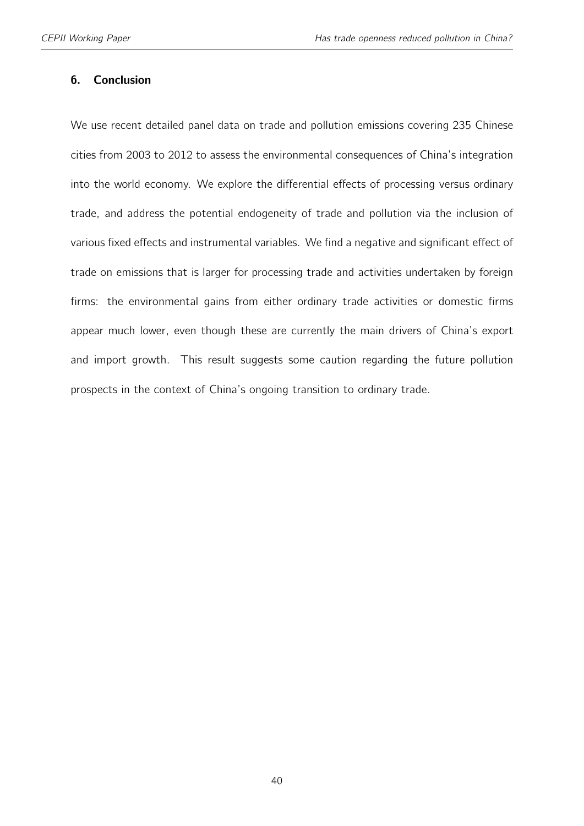#### 6. Conclusion

We use recent detailed panel data on trade and pollution emissions covering 235 Chinese cities from 2003 to 2012 to assess the environmental consequences of China's integration into the world economy. We explore the differential effects of processing versus ordinary trade, and address the potential endogeneity of trade and pollution via the inclusion of various fixed effects and instrumental variables. We find a negative and significant effect of trade on emissions that is larger for processing trade and activities undertaken by foreign firms: the environmental gains from either ordinary trade activities or domestic firms appear much lower, even though these are currently the main drivers of China's export and import growth. This result suggests some caution regarding the future pollution prospects in the context of China's ongoing transition to ordinary trade.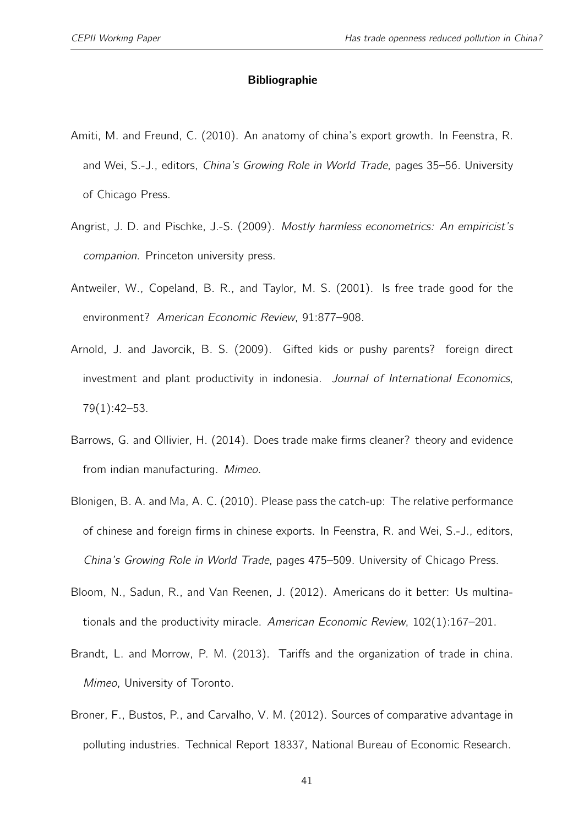#### Bibliographie

- <span id="page-40-4"></span>Amiti, M. and Freund, C. (2010). An anatomy of china's export growth. In Feenstra, R. and Wei, S.-J., editors, China's Growing Role in World Trade, pages 35–56. University of Chicago Press.
- <span id="page-40-7"></span>Angrist, J. D. and Pischke, J.-S. (2009). Mostly harmless econometrics: An empiricist's companion. Princeton university press.
- <span id="page-40-0"></span>Antweiler, W., Copeland, B. R., and Taylor, M. S. (2001). Is free trade good for the environment? American Economic Review, 91:877–908.
- <span id="page-40-5"></span>Arnold, J. and Javorcik, B. S. (2009). Gifted kids or pushy parents? foreign direct investment and plant productivity in indonesia. Journal of International Economics, 79(1):42–53.
- <span id="page-40-2"></span>Barrows, G. and Ollivier, H. (2014). Does trade make firms cleaner? theory and evidence from indian manufacturing. Mimeo.
- <span id="page-40-8"></span>Blonigen, B. A. and Ma, A. C. (2010). Please pass the catch-up: The relative performance of chinese and foreign firms in chinese exports. In Feenstra, R. and Wei, S.-J., editors, China's Growing Role in World Trade, pages 475–509. University of Chicago Press.
- <span id="page-40-6"></span>Bloom, N., Sadun, R., and Van Reenen, J. (2012). Americans do it better: Us multinationals and the productivity miracle. American Economic Review, 102(1):167–201.
- <span id="page-40-3"></span>Brandt, L. and Morrow, P. M. (2013). Tariffs and the organization of trade in china. Mimeo, University of Toronto.
- <span id="page-40-1"></span>Broner, F., Bustos, P., and Carvalho, V. M. (2012). Sources of comparative advantage in polluting industries. Technical Report 18337, National Bureau of Economic Research.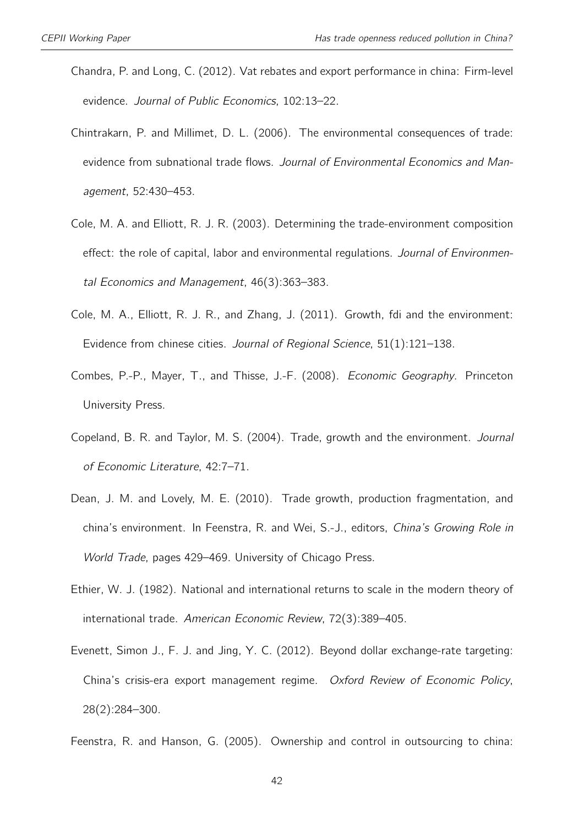- <span id="page-41-8"></span>Chandra, P. and Long, C. (2012). Vat rebates and export performance in china: Firm-level evidence. Journal of Public Economics, 102:13–22.
- <span id="page-41-4"></span>Chintrakarn, P. and Millimet, D. L. (2006). The environmental consequences of trade: evidence from subnational trade flows. Journal of Environmental Economics and Management, 52:430–453.
- <span id="page-41-6"></span>Cole, M. A. and Elliott, R. J. R. (2003). Determining the trade-environment composition effect: the role of capital, labor and environmental regulations. Journal of Environmental Economics and Management, 46(3):363–383.
- <span id="page-41-7"></span>Cole, M. A., Elliott, R. J. R., and Zhang, J. (2011). Growth, fdi and the environment: Evidence from chinese cities. Journal of Regional Science, 51(1):121–138.
- <span id="page-41-5"></span>Combes, P.-P., Mayer, T., and Thisse, J.-F. (2008). Economic Geography. Princeton University Press.
- <span id="page-41-1"></span>Copeland, B. R. and Taylor, M. S. (2004). Trade, growth and the environment. Journal of Economic Literature, 42:7–71.
- <span id="page-41-0"></span>Dean, J. M. and Lovely, M. E. (2010). Trade growth, production fragmentation, and china's environment. In Feenstra, R. and Wei, S.-J., editors, China's Growing Role in World Trade, pages 429–469. University of Chicago Press.
- <span id="page-41-3"></span>Ethier, W. J. (1982). National and international returns to scale in the modern theory of international trade. American Economic Review, 72(3):389–405.
- <span id="page-41-9"></span>Evenett, Simon J., F. J. and Jing, Y. C. (2012). Beyond dollar exchange-rate targeting: China's crisis-era export management regime. Oxford Review of Economic Policy, 28(2):284–300.
- <span id="page-41-2"></span>Feenstra, R. and Hanson, G. (2005). Ownership and control in outsourcing to china: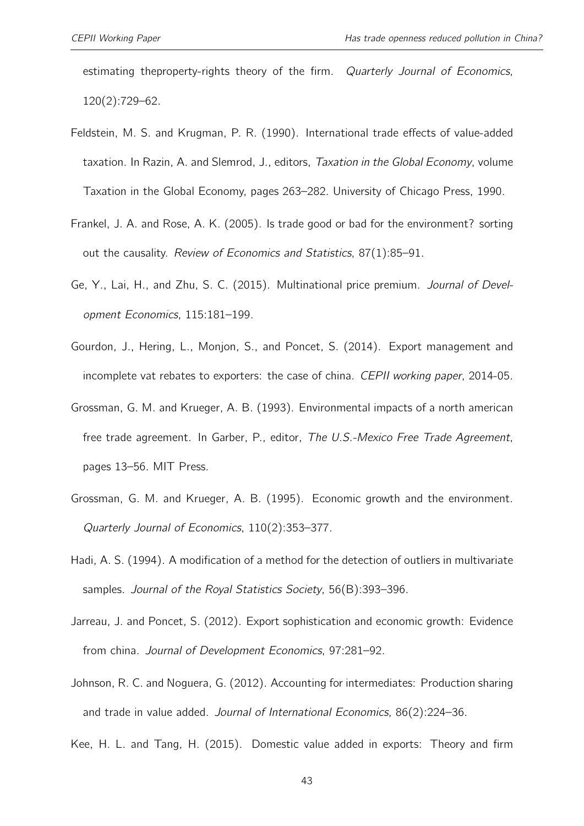estimating theproperty-rights theory of the firm. Quarterly Journal of Economics, 120(2):729–62.

- <span id="page-42-8"></span>Feldstein, M. S. and Krugman, P. R. (1990). International trade effects of value-added taxation. In Razin, A. and Slemrod, J., editors, Taxation in the Global Economy, volume Taxation in the Global Economy, pages 263–282. University of Chicago Press, 1990.
- <span id="page-42-0"></span>Frankel, J. A. and Rose, A. K. (2005). Is trade good or bad for the environment? sorting out the causality. Review of Economics and Statistics, 87(1):85–91.
- <span id="page-42-3"></span>Ge, Y., Lai, H., and Zhu, S. C. (2015). Multinational price premium. Journal of Development Economics, 115:181–199.
- <span id="page-42-7"></span>Gourdon, J., Hering, L., Monjon, S., and Poncet, S. (2014). Export management and incomplete vat rebates to exporters: the case of china. CEPII working paper, 2014-05.
- <span id="page-42-1"></span>Grossman, G. M. and Krueger, A. B. (1993). Environmental impacts of a north american free trade agreement. In Garber, P., editor, The U.S.-Mexico Free Trade Agreement, pages 13–56. MIT Press.
- <span id="page-42-6"></span>Grossman, G. M. and Krueger, A. B. (1995). Economic growth and the environment. Quarterly Journal of Economics, 110(2):353–377.
- <span id="page-42-5"></span>Hadi, A. S. (1994). A modification of a method for the detection of outliers in multivariate samples. Journal of the Royal Statistics Society, 56(B):393–396.
- <span id="page-42-4"></span>Jarreau, J. and Poncet, S. (2012). Export sophistication and economic growth: Evidence from china. Journal of Development Economics, 97:281–92.
- <span id="page-42-9"></span>Johnson, R. C. and Noguera, G. (2012). Accounting for intermediates: Production sharing and trade in value added. Journal of International Economics, 86(2):224–36.
- <span id="page-42-2"></span>Kee, H. L. and Tang, H. (2015). Domestic value added in exports: Theory and firm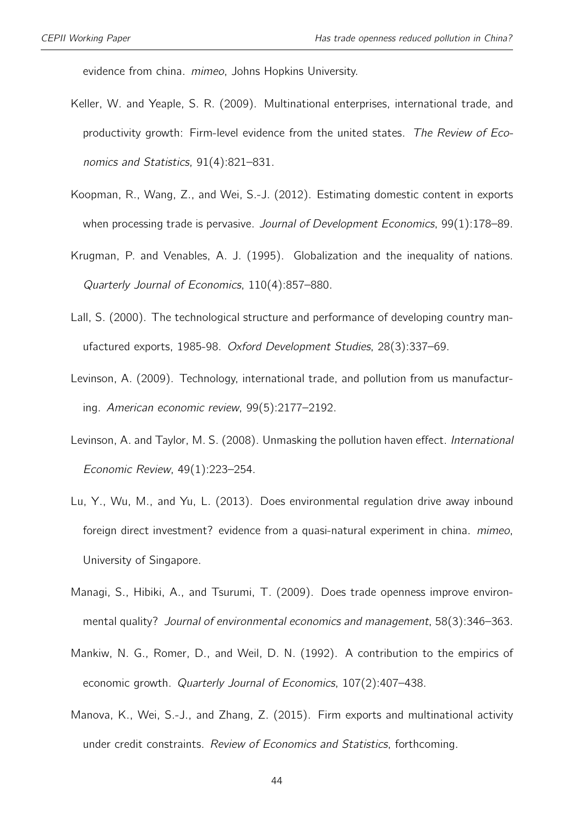evidence from china. mimeo, Johns Hopkins University.

- <span id="page-43-5"></span>Keller, W. and Yeaple, S. R. (2009). Multinational enterprises, international trade, and productivity growth: Firm-level evidence from the united states. The Review of Economics and Statistics, 91(4):821–831.
- <span id="page-43-4"></span>Koopman, R., Wang, Z., and Wei, S.-J. (2012). Estimating domestic content in exports when processing trade is pervasive. Journal of Development Economics, 99(1):178-89.
- <span id="page-43-0"></span>Krugman, P. and Venables, A. J. (1995). Globalization and the inequality of nations. Quarterly Journal of Economics, 110(4):857–880.
- <span id="page-43-9"></span>Lall, S. (2000). The technological structure and performance of developing country manufactured exports, 1985-98. Oxford Development Studies, 28(3):337–69.
- <span id="page-43-1"></span>Levinson, A. (2009). Technology, international trade, and pollution from us manufacturing. American economic review, 99(5):2177–2192.
- <span id="page-43-3"></span>Levinson, A. and Taylor, M. S. (2008). Unmasking the pollution haven effect. International Economic Review, 49(1):223–254.
- <span id="page-43-7"></span>Lu, Y., Wu, M., and Yu, L. (2013). Does environmental regulation drive away inbound foreign direct investment? evidence from a quasi-natural experiment in china. mimeo, University of Singapore.
- <span id="page-43-2"></span>Managi, S., Hibiki, A., and Tsurumi, T. (2009). Does trade openness improve environmental quality? Journal of environmental economics and management, 58(3):346–363.
- <span id="page-43-8"></span>Mankiw, N. G., Romer, D., and Weil, D. N. (1992). A contribution to the empirics of economic growth. Quarterly Journal of Economics, 107(2):407–438.
- <span id="page-43-6"></span>Manova, K., Wei, S.-J., and Zhang, Z. (2015). Firm exports and multinational activity under credit constraints. Review of Economics and Statistics, forthcoming.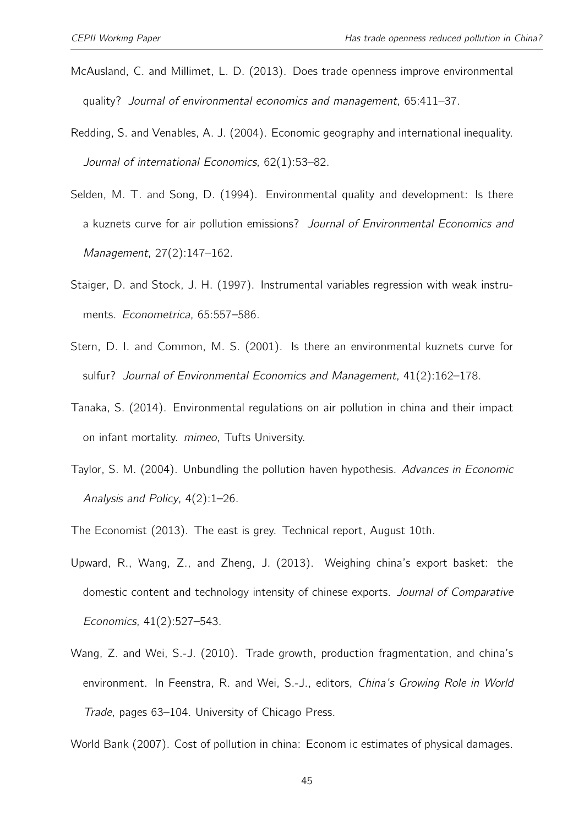- <span id="page-44-1"></span>McAusland, C. and Millimet, L. D. (2013). Does trade openness improve environmental quality? Journal of environmental economics and management, 65:411–37.
- <span id="page-44-8"></span>Redding, S. and Venables, A. J. (2004). Economic geography and international inequality. Journal of international Economics, 62(1):53–82.
- <span id="page-44-7"></span>Selden, M. T. and Song, D. (1994). Environmental quality and development: Is there a kuznets curve for air pollution emissions? Journal of Environmental Economics and Management, 27(2):147–162.
- <span id="page-44-9"></span>Staiger, D. and Stock, J. H. (1997). Instrumental variables regression with weak instruments. Econometrica, 65:557–586.
- <span id="page-44-5"></span>Stern, D. I. and Common, M. S. (2001). Is there an environmental kuznets curve for sulfur? Journal of Environmental Economics and Management, 41(2):162–178.
- <span id="page-44-6"></span>Tanaka, S. (2014). Environmental regulations on air pollution in china and their impact on infant mortality. mimeo, Tufts University.
- <span id="page-44-0"></span>Taylor, S. M. (2004). Unbundling the pollution haven hypothesis. Advances in Economic Analysis and Policy, 4(2):1–26.
- <span id="page-44-10"></span><span id="page-44-2"></span>The Economist (2013). The east is grey. Technical report, August 10th.
- Upward, R., Wang, Z., and Zheng, J. (2013). Weighing china's export basket: the domestic content and technology intensity of chinese exports. Journal of Comparative Economics, 41(2):527–543.
- <span id="page-44-4"></span>Wang, Z. and Wei, S.-J. (2010). Trade growth, production fragmentation, and china's environment. In Feenstra, R. and Wei, S.-J., editors, China's Growing Role in World Trade, pages 63–104. University of Chicago Press.

<span id="page-44-3"></span>World Bank (2007). Cost of pollution in china: Econom ic estimates of physical damages.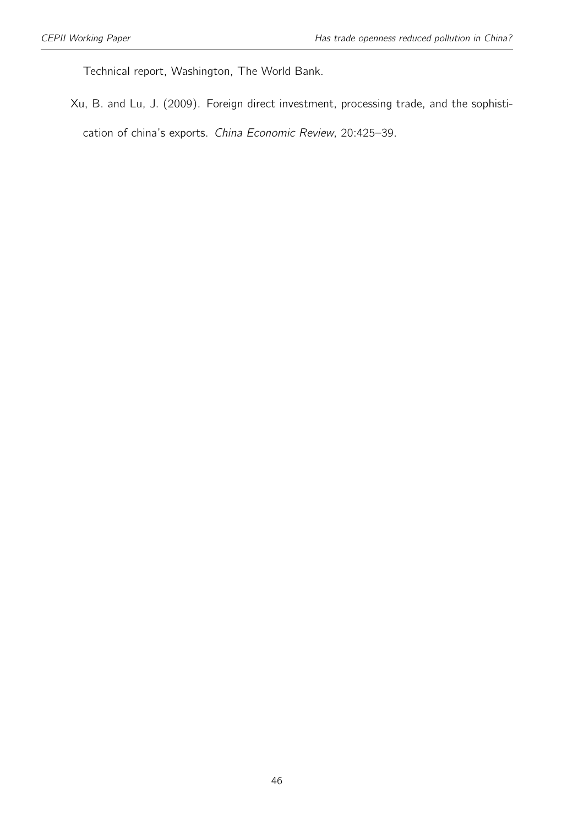Technical report, Washington, The World Bank.

<span id="page-45-0"></span>Xu, B. and Lu, J. (2009). Foreign direct investment, processing trade, and the sophistication of china's exports. China Economic Review, 20:425–39.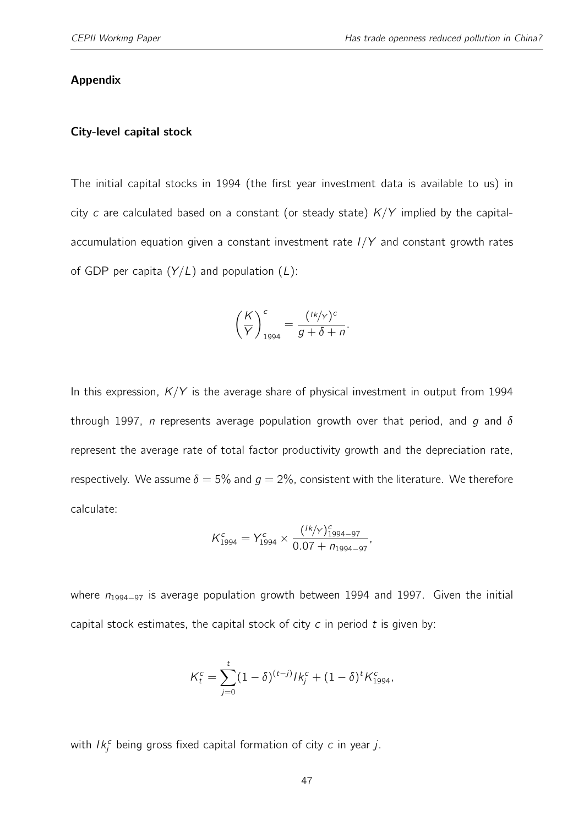#### Appendix

#### City-level capital stock

The initial capital stocks in 1994 (the first year investment data is available to us) in city c are calculated based on a constant (or steady state)  $K/Y$  implied by the capitalaccumulation equation given a constant investment rate  $I/Y$  and constant growth rates of GDP per capita  $(Y/L)$  and population  $(L)$ :

$$
\left(\frac{K}{Y}\right)_{1994}^{c} = \frac{(1k/y)^{c}}{g + \delta + n}.
$$

In this expression,  $K/Y$  is the average share of physical investment in output from 1994 through 1997, *n* represents average population growth over that period, and g and  $\delta$ represent the average rate of total factor productivity growth and the depreciation rate, respectively. We assume  $\delta = 5\%$  and  $q = 2\%$ , consistent with the literature. We therefore calculate:

$$
K_{1994}^{c} = Y_{1994}^{c} \times \frac{(^{1k}/\gamma)_{1994-97}^{c}}{0.07 + n_{1994-97}},
$$

where  $n_{1994-97}$  is average population growth between 1994 and 1997. Given the initial capital stock estimates, the capital stock of city  $c$  in period  $t$  is given by:

$$
K_t^c = \sum_{j=0}^t (1-\delta)^{(t-j)} I k_j^c + (1-\delta)^t K_{1994}^c,
$$

with  $lk_j^c$  being gross fixed capital formation of city  $c$  in year  $j$ .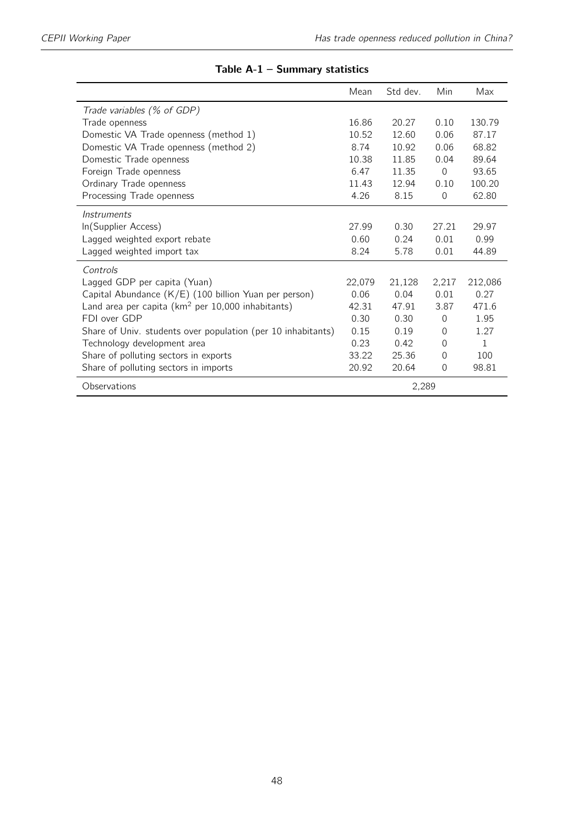|                                                              | Mean   | Std dev. | Min      | Max          |
|--------------------------------------------------------------|--------|----------|----------|--------------|
| Trade variables (% of GDP)                                   |        |          |          |              |
| Trade openness                                               | 16.86  | 20.27    | 0.10     | 130.79       |
| Domestic VA Trade openness (method 1)                        | 10.52  | 12.60    | 0.06     | 87.17        |
| Domestic VA Trade openness (method 2)                        | 8.74   | 10.92    | 0.06     | 68.82        |
| Domestic Trade openness                                      | 10.38  | 11.85    | 0.04     | 89.64        |
| Foreign Trade openness                                       | 6.47   | 11.35    | $\Omega$ | 93.65        |
| Ordinary Trade openness                                      | 11.43  | 12.94    | 0.10     | 100.20       |
| Processing Trade openness                                    | 4.26   | 8.15     | $\Omega$ | 62.80        |
| Instruments                                                  |        |          |          |              |
| In(Supplier Access)                                          | 27.99  | 0.30     | 27.21    | 29.97        |
| Lagged weighted export rebate                                | 0.60   | 0.24     | 0.01     | 0.99         |
| Lagged weighted import tax                                   | 8.24   | 5.78     | 0.01     | 44.89        |
| Controls                                                     |        |          |          |              |
| Lagged GDP per capita (Yuan)                                 | 22.079 | 21,128   | 2,217    | 212,086      |
| Capital Abundance (K/E) (100 billion Yuan per person)        | 0.06   | 0.04     | 0.01     | 0.27         |
| Land area per capita ( $km^2$ per 10,000 inhabitants)        | 42.31  | 47.91    | 3.87     | 471.6        |
| FDI over GDP                                                 | 0.30   | 0.30     | $\Omega$ | 1.95         |
| Share of Univ. students over population (per 10 inhabitants) | 0.15   | 0.19     | $\Omega$ | 1.27         |
| Technology development area                                  | 0.23   | 0.42     | $\Omega$ | $\mathbf{1}$ |
| Share of polluting sectors in exports                        | 33.22  | 25.36    | $\Omega$ | 100          |
| Share of polluting sectors in imports                        | 20.92  | 20.64    | $\Omega$ | 98.81        |
| Observations                                                 |        | 2,289    |          |              |

#### Table A-1 – Summary statistics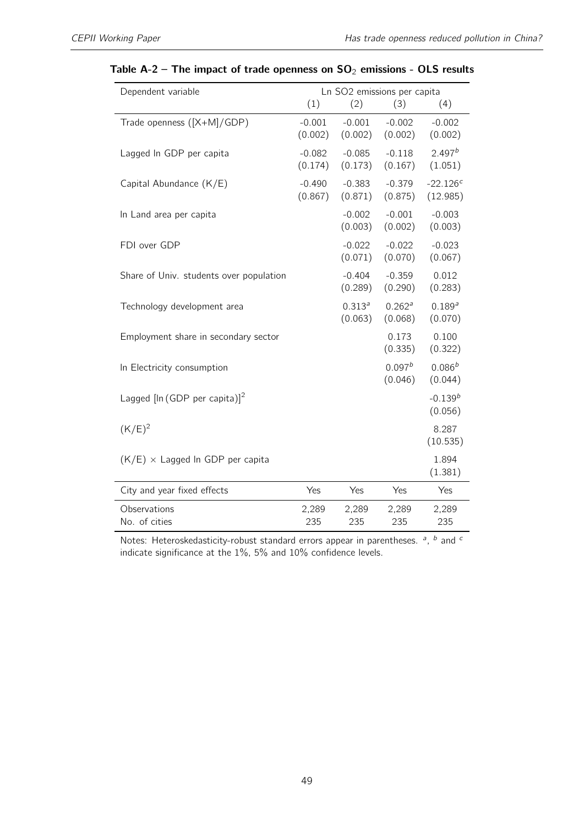| Dependent variable                        | Ln SO2 emissions per capita |                        |                               |                         |  |  |
|-------------------------------------------|-----------------------------|------------------------|-------------------------------|-------------------------|--|--|
|                                           | (1)                         | (2)                    | (3)                           | (4)                     |  |  |
| Trade openness ([X+M]/GDP)                | $-0.001$<br>(0.002)         | $-0.001$<br>(0.002)    | $-0.002$<br>(0.002)           | $-0.002$<br>(0.002)     |  |  |
| Lagged In GDP per capita                  | $-0.082$<br>(0.174)         | $-0.085$<br>(0.173)    | $-0.118$<br>(0.167)           | $2.497^{b}$<br>(1.051)  |  |  |
| Capital Abundance (K/E)                   | $-0.490$<br>(0.867)         | $-0.383$<br>(0.871)    | $-0.379$<br>(0.875)           | $-22.126c$<br>(12.985)  |  |  |
| In Land area per capita                   |                             | $-0.002$<br>(0.003)    | $-0.001$<br>(0.002)           | $-0.003$<br>(0.003)     |  |  |
| FDI over GDP                              |                             | $-0.022$<br>(0.071)    | $-0.022$<br>(0.070)           | $-0.023$<br>(0.067)     |  |  |
| Share of Univ. students over population   |                             | $-0.404$<br>(0.289)    | $-0.359$<br>(0.290)           | 0.012<br>(0.283)        |  |  |
| Technology development area               |                             | $0.313^{a}$<br>(0.063) | 0.262 <sup>a</sup><br>(0.068) | $0.189^{a}$<br>(0.070)  |  |  |
| Employment share in secondary sector      |                             |                        | 0.173<br>(0.335)              | 0.100<br>(0.322)        |  |  |
| In Electricity consumption                |                             |                        | 0.097 <sup>b</sup><br>(0.046) | $0.086^{b}$<br>(0.044)  |  |  |
| Lagged $[\ln (GDP \text{ per capita})]^2$ |                             |                        |                               | $-0.139^{b}$<br>(0.056) |  |  |
| $(K/E)^2$                                 |                             |                        |                               | 8.287<br>(10.535)       |  |  |
| $(K/E)$ × Lagged In GDP per capita        |                             |                        |                               | 1.894<br>(1.381)        |  |  |
| City and year fixed effects               | Yes                         | Yes                    | Yes                           | Yes                     |  |  |
| Observations<br>No. of cities             | 2,289<br>235                | 2,289<br>235           | 2,289<br>235                  | 2,289<br>235            |  |  |

#### <span id="page-48-0"></span>Table A-2 – The impact of trade openness on  $SO_2$  emissions - OLS results

Notes: Heteroskedasticity-robust standard errors appear in parentheses.  $a$ ,  $b$  and  $c$ indicate significance at the 1%, 5% and 10% confidence levels.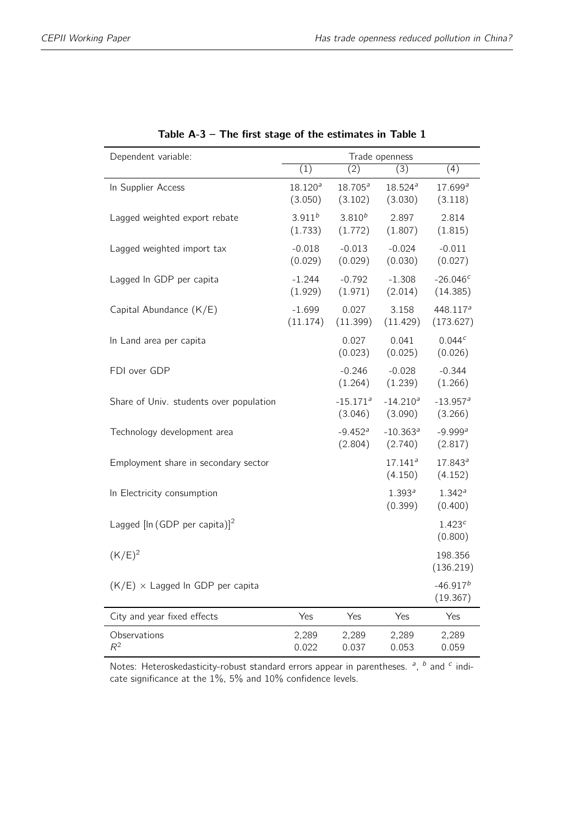<span id="page-49-0"></span>

| Dependent variable:                       | Trade openness          |                                   |                                   |                                   |  |  |
|-------------------------------------------|-------------------------|-----------------------------------|-----------------------------------|-----------------------------------|--|--|
|                                           | (1)                     | (2)                               | (3)                               | $\overline{(4)}$                  |  |  |
| In Supplier Access                        | $18.120^{a}$<br>(3.050) | $18.705^{a}$<br>(3.102)           | $18.524^{a}$<br>(3.030)           | 17.699a<br>(3.118)                |  |  |
| Lagged weighted export rebate             | $3.911^{b}$<br>(1.733)  | $3.810^{b}$<br>(1.772)            | 2.897<br>(1.807)                  | 2.814<br>(1.815)                  |  |  |
| Lagged weighted import tax                | $-0.018$<br>(0.029)     | $-0.013$<br>(0.029)               | $-0.024$<br>(0.030)               | $-0.011$<br>(0.027)               |  |  |
| Lagged In GDP per capita                  | $-1.244$<br>(1.929)     | $-0.792$<br>(1.971)               | $-1.308$<br>(2.014)               | $-26.046c$<br>(14.385)            |  |  |
| Capital Abundance (K/E)                   | $-1.699$<br>(11.174)    | 0.027<br>(11.399)                 | 3.158<br>(11.429)                 | 448.117 <sup>a</sup><br>(173.627) |  |  |
| In Land area per capita                   |                         | 0.027<br>(0.023)                  | 0.041<br>(0.025)                  | 0.044c<br>(0.026)                 |  |  |
| FDI over GDP                              |                         | $-0.246$<br>(1.264)               | $-0.028$<br>(1.239)               | $-0.344$<br>(1.266)               |  |  |
| Share of Univ. students over population   |                         | $-15.171$ <sup>a</sup><br>(3.046) | $-14.210a$<br>(3.090)             | $-13.957$ <sup>a</sup><br>(3.266) |  |  |
| Technology development area               |                         | $-9.452$ <sup>a</sup><br>(2.804)  | $-10.363$ <sup>a</sup><br>(2.740) | $-9.999a$<br>(2.817)              |  |  |
| Employment share in secondary sector      |                         |                                   | $17.141^{a}$<br>(4.150)           | $17.843^a$<br>(4.152)             |  |  |
| In Electricity consumption                |                         |                                   | $1.393^{a}$<br>(0.399)            | 1.342 <sup>a</sup><br>(0.400)     |  |  |
| Lagged $[\ln (GDP \text{ per capita})]^2$ |                         |                                   |                                   | 1.423c<br>(0.800)                 |  |  |
| $(K/E)^2$                                 |                         |                                   |                                   | 198.356<br>(136.219)              |  |  |
| $(K/E)$ × Lagged In GDP per capita        |                         |                                   |                                   | $-46.917^{b}$<br>(19.367)         |  |  |
| City and year fixed effects               | Yes                     | Yes                               | Yes                               | Yes                               |  |  |
| Observations<br>$R^2$                     | 2,289<br>0.022          | 2,289<br>0.037                    | 2,289<br>0.053                    | 2,289<br>0.059                    |  |  |

| Table $A-3$ – The first stage of the estimates in Table 1 |  |  |  |  |  |
|-----------------------------------------------------------|--|--|--|--|--|
|                                                           |  |  |  |  |  |

Notes: Heteroskedasticity-robust standard errors appear in parentheses.  $a$ ,  $b$  and  $c$  indicate significance at the 1%, 5% and 10% confidence levels.